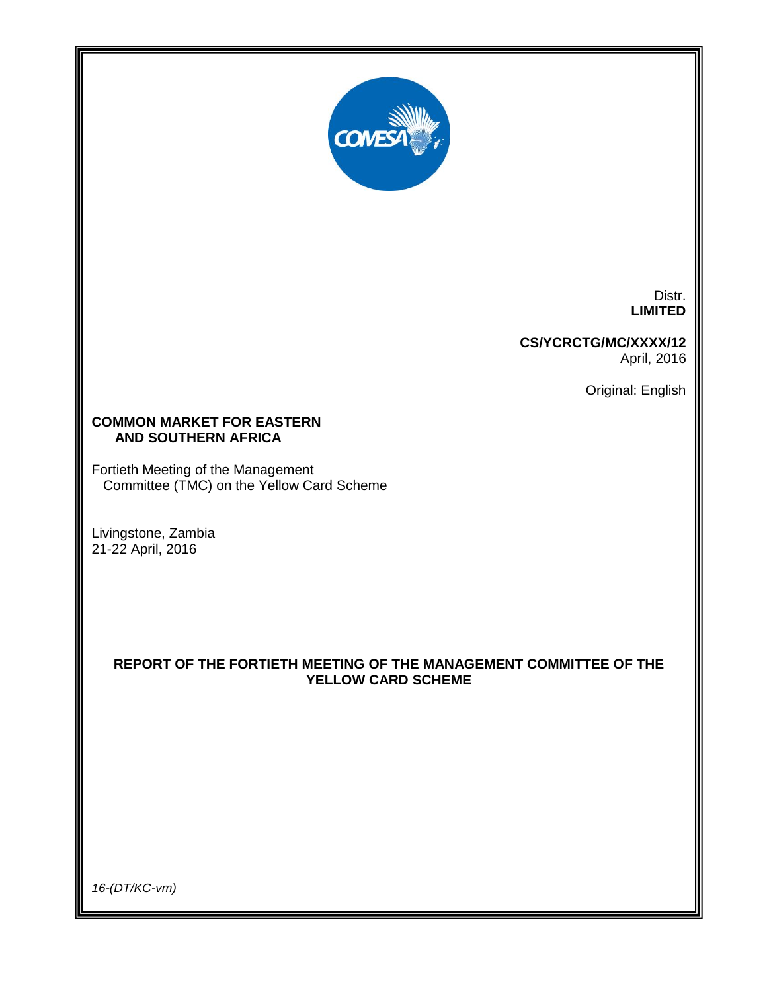

Distr. **LIMITED**

**CS/YCRCTG/MC/XXXX/12** April, 2016

Original: English

# **COMMON MARKET FOR EASTERN AND SOUTHERN AFRICA**

Fortieth Meeting of the Management Committee (TMC) on the Yellow Card Scheme

Livingstone, Zambia 21-22 April, 2016

# **REPORT OF THE FORTIETH MEETING OF THE MANAGEMENT COMMITTEE OF THE YELLOW CARD SCHEME**

*16-(DT/KC-vm)*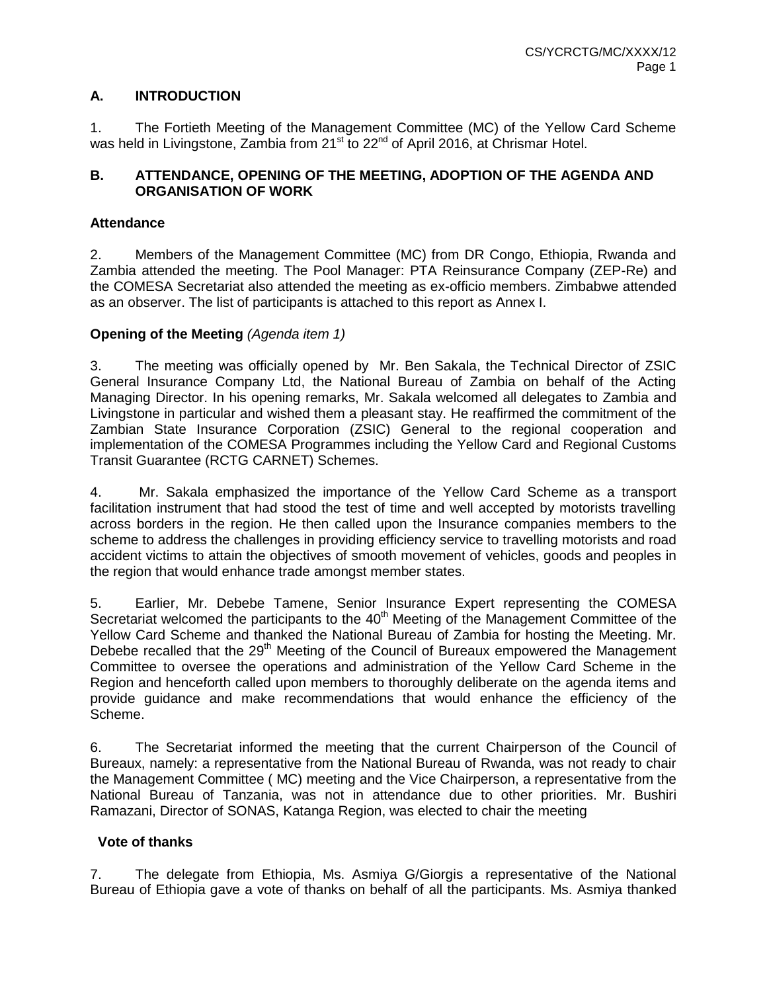# **A. INTRODUCTION**

1. The Fortieth Meeting of the Management Committee (MC) of the Yellow Card Scheme was held in Livingstone, Zambia from  $21<sup>st</sup>$  to  $22<sup>nd</sup>$  of April 2016, at Chrismar Hotel.

# **B. ATTENDANCE, OPENING OF THE MEETING, ADOPTION OF THE AGENDA AND ORGANISATION OF WORK**

# **Attendance**

2. Members of the Management Committee (MC) from DR Congo, Ethiopia, Rwanda and Zambia attended the meeting. The Pool Manager: PTA Reinsurance Company (ZEP-Re) and the COMESA Secretariat also attended the meeting as ex-officio members. Zimbabwe attended as an observer. The list of participants is attached to this report as Annex I.

# **Opening of the Meeting** *(Agenda item 1)*

3. The meeting was officially opened by Mr. Ben Sakala, the Technical Director of ZSIC General Insurance Company Ltd, the National Bureau of Zambia on behalf of the Acting Managing Director. In his opening remarks, Mr. Sakala welcomed all delegates to Zambia and Livingstone in particular and wished them a pleasant stay. He reaffirmed the commitment of the Zambian State Insurance Corporation (ZSIC) General to the regional cooperation and implementation of the COMESA Programmes including the Yellow Card and Regional Customs Transit Guarantee (RCTG CARNET) Schemes.

4. Mr. Sakala emphasized the importance of the Yellow Card Scheme as a transport facilitation instrument that had stood the test of time and well accepted by motorists travelling across borders in the region. He then called upon the Insurance companies members to the scheme to address the challenges in providing efficiency service to travelling motorists and road accident victims to attain the objectives of smooth movement of vehicles, goods and peoples in the region that would enhance trade amongst member states.

5. Earlier, Mr. Debebe Tamene, Senior Insurance Expert representing the COMESA Secretariat welcomed the participants to the 40<sup>th</sup> Meeting of the Management Committee of the Yellow Card Scheme and thanked the National Bureau of Zambia for hosting the Meeting. Mr. Debebe recalled that the 29<sup>th</sup> Meeting of the Council of Bureaux empowered the Management Committee to oversee the operations and administration of the Yellow Card Scheme in the Region and henceforth called upon members to thoroughly deliberate on the agenda items and provide guidance and make recommendations that would enhance the efficiency of the Scheme.

6. The Secretariat informed the meeting that the current Chairperson of the Council of Bureaux, namely: a representative from the National Bureau of Rwanda, was not ready to chair the Management Committee ( MC) meeting and the Vice Chairperson, a representative from the National Bureau of Tanzania, was not in attendance due to other priorities. Mr. Bushiri Ramazani, Director of SONAS, Katanga Region, was elected to chair the meeting

# **Vote of thanks**

7. The delegate from Ethiopia, Ms. Asmiya G/Giorgis a representative of the National Bureau of Ethiopia gave a vote of thanks on behalf of all the participants. Ms. Asmiya thanked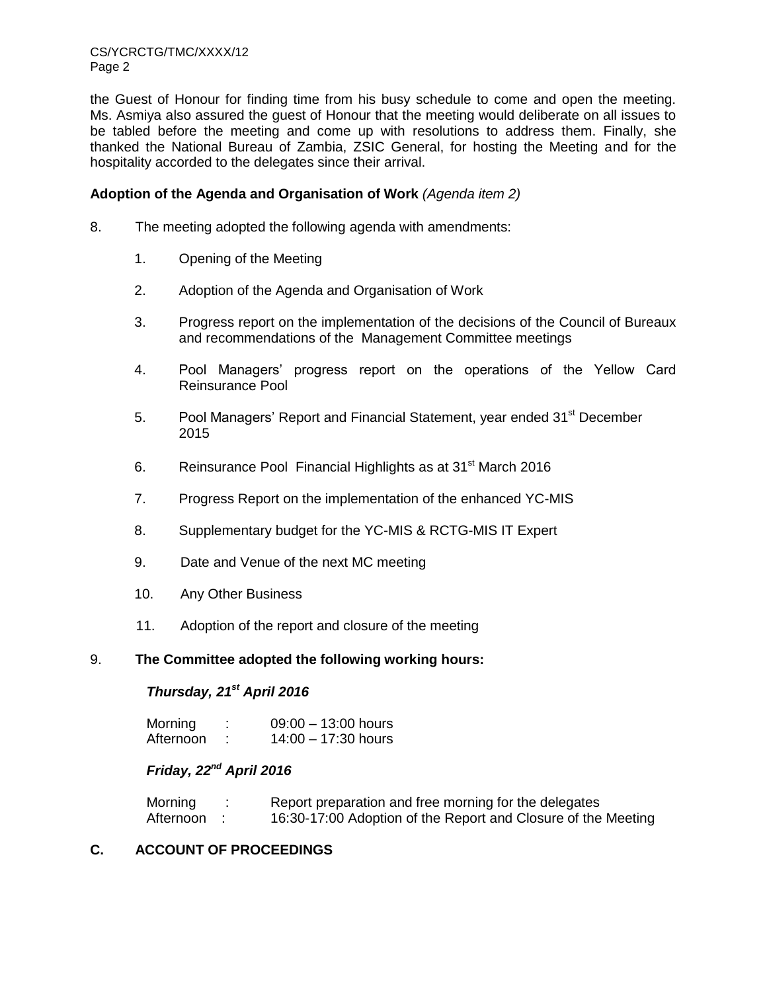CS/YCRCTG/TMC/XXXX/12 Page 2

the Guest of Honour for finding time from his busy schedule to come and open the meeting. Ms. Asmiya also assured the guest of Honour that the meeting would deliberate on all issues to be tabled before the meeting and come up with resolutions to address them. Finally, she thanked the National Bureau of Zambia, ZSIC General, for hosting the Meeting and for the hospitality accorded to the delegates since their arrival.

#### **Adoption of the Agenda and Organisation of Work** *(Agenda item 2)*

- 8. The meeting adopted the following agenda with amendments:
	- 1. Opening of the Meeting
	- 2. Adoption of the Agenda and Organisation of Work
	- 3. Progress report on the implementation of the decisions of the Council of Bureaux and recommendations of the Management Committee meetings
	- 4. Pool Managers' progress report on the operations of the Yellow Card Reinsurance Pool
	- 5. Pool Managers' Report and Financial Statement, year ended 31<sup>st</sup> December 2015
	- 6. Reinsurance Pool Financial Highlights as at  $31<sup>st</sup>$  March 2016
	- 7. Progress Report on the implementation of the enhanced YC-MIS
	- 8. Supplementary budget for the YC-MIS & RCTG-MIS IT Expert
	- 9. Date and Venue of the next MC meeting
	- 10. Any Other Business
	- 11. Adoption of the report and closure of the meeting

#### 9. **The Committee adopted the following working hours:**

#### *Thursday, 21st April 2016*

| Morning   | $09:00 - 13:00$ hours |
|-----------|-----------------------|
| Afternoon | $14:00 - 17:30$ hours |

# *Friday, 22 nd April 2016*

| Morning   | Report preparation and free morning for the delegates         |
|-----------|---------------------------------------------------------------|
| Afternoon | 16:30-17:00 Adoption of the Report and Closure of the Meeting |

## **C. ACCOUNT OF PROCEEDINGS**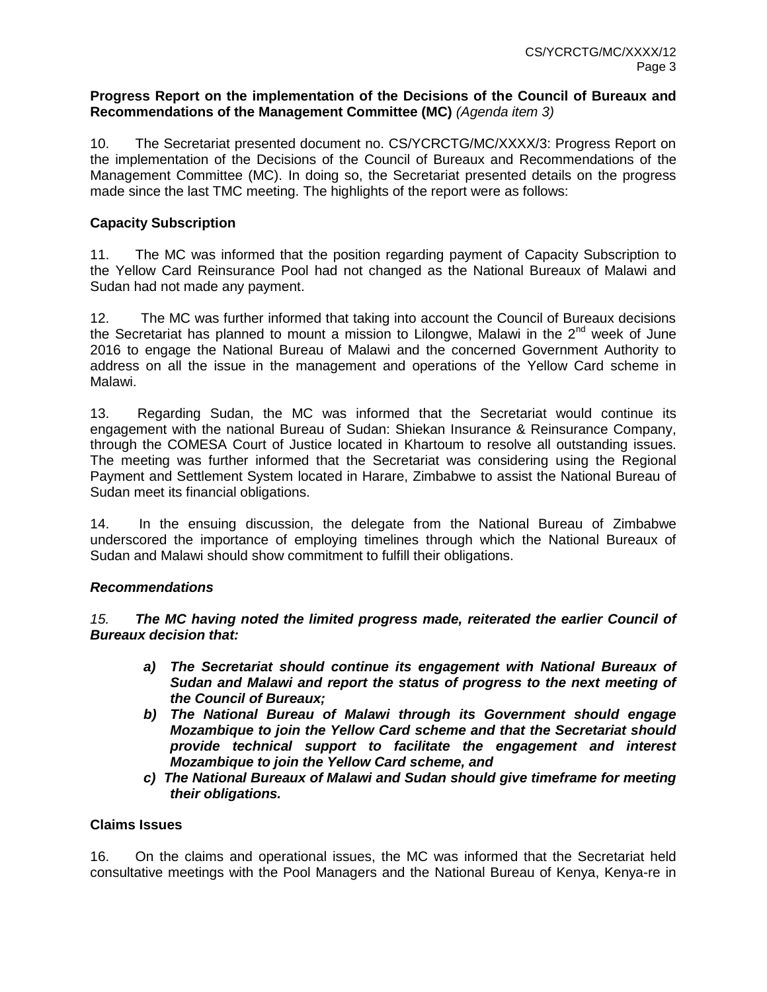#### **Progress Report on the implementation of the Decisions of the Council of Bureaux and Recommendations of the Management Committee (MC)** *(Agenda item 3)*

10. The Secretariat presented document no. CS/YCRCTG/MC/XXXX/3: Progress Report on the implementation of the Decisions of the Council of Bureaux and Recommendations of the Management Committee (MC). In doing so, the Secretariat presented details on the progress made since the last TMC meeting. The highlights of the report were as follows:

## **Capacity Subscription**

11. The MC was informed that the position regarding payment of Capacity Subscription to the Yellow Card Reinsurance Pool had not changed as the National Bureaux of Malawi and Sudan had not made any payment.

12. The MC was further informed that taking into account the Council of Bureaux decisions the Secretariat has planned to mount a mission to Lilongwe, Malawi in the 2<sup>nd</sup> week of June 2016 to engage the National Bureau of Malawi and the concerned Government Authority to address on all the issue in the management and operations of the Yellow Card scheme in Malawi.

13. Regarding Sudan, the MC was informed that the Secretariat would continue its engagement with the national Bureau of Sudan: Shiekan Insurance & Reinsurance Company, through the COMESA Court of Justice located in Khartoum to resolve all outstanding issues. The meeting was further informed that the Secretariat was considering using the Regional Payment and Settlement System located in Harare, Zimbabwe to assist the National Bureau of Sudan meet its financial obligations.

14. In the ensuing discussion, the delegate from the National Bureau of Zimbabwe underscored the importance of employing timelines through which the National Bureaux of Sudan and Malawi should show commitment to fulfill their obligations.

#### *Recommendations*

*15. The MC having noted the limited progress made, reiterated the earlier Council of Bureaux decision that:*

- *a) The Secretariat should continue its engagement with National Bureaux of Sudan and Malawi and report the status of progress to the next meeting of the Council of Bureaux;*
- *b) The National Bureau of Malawi through its Government should engage Mozambique to join the Yellow Card scheme and that the Secretariat should provide technical support to facilitate the engagement and interest Mozambique to join the Yellow Card scheme, and*
- *c) The National Bureaux of Malawi and Sudan should give timeframe for meeting their obligations.*

#### **Claims Issues**

16. On the claims and operational issues, the MC was informed that the Secretariat held consultative meetings with the Pool Managers and the National Bureau of Kenya, Kenya-re in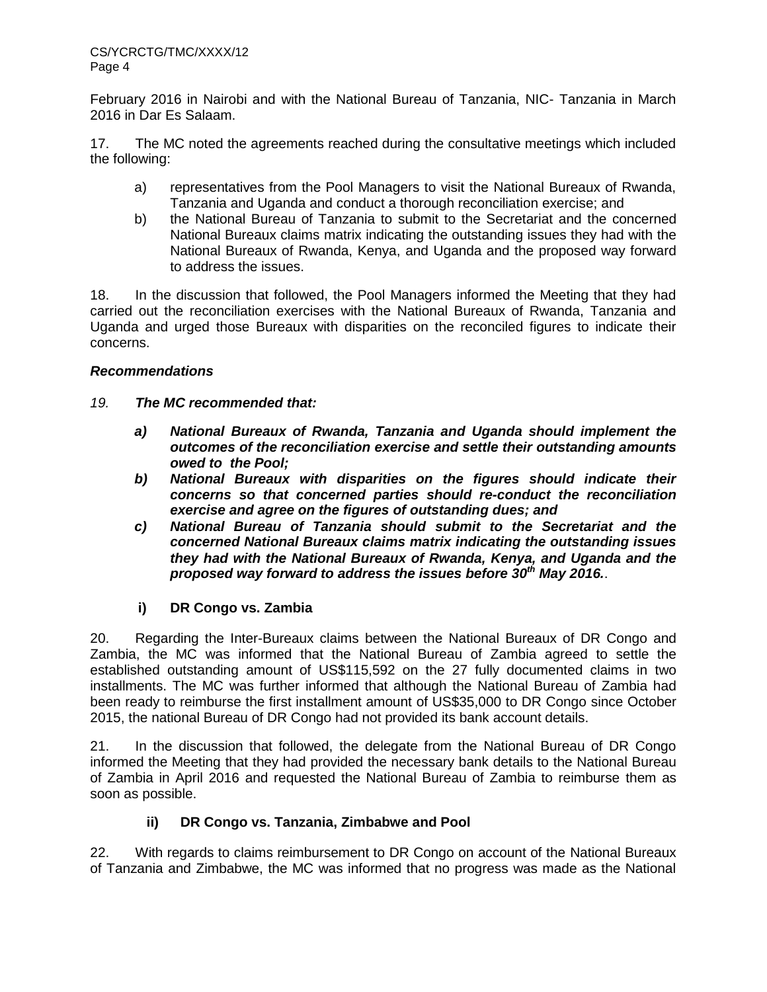February 2016 in Nairobi and with the National Bureau of Tanzania, NIC- Tanzania in March 2016 in Dar Es Salaam.

17. The MC noted the agreements reached during the consultative meetings which included the following:

- a) representatives from the Pool Managers to visit the National Bureaux of Rwanda, Tanzania and Uganda and conduct a thorough reconciliation exercise; and
- b) the National Bureau of Tanzania to submit to the Secretariat and the concerned National Bureaux claims matrix indicating the outstanding issues they had with the National Bureaux of Rwanda, Kenya, and Uganda and the proposed way forward to address the issues.

18. In the discussion that followed, the Pool Managers informed the Meeting that they had carried out the reconciliation exercises with the National Bureaux of Rwanda, Tanzania and Uganda and urged those Bureaux with disparities on the reconciled figures to indicate their concerns.

# *Recommendations*

- *19. The MC recommended that:*
	- *a) National Bureaux of Rwanda, Tanzania and Uganda should implement the outcomes of the reconciliation exercise and settle their outstanding amounts owed to the Pool;*
	- *b) National Bureaux with disparities on the figures should indicate their concerns so that concerned parties should re-conduct the reconciliation exercise and agree on the figures of outstanding dues; and*
	- *c) National Bureau of Tanzania should submit to the Secretariat and the concerned National Bureaux claims matrix indicating the outstanding issues they had with the National Bureaux of Rwanda, Kenya, and Uganda and the proposed way forward to address the issues before 30th May 2016.*.

# **i) DR Congo vs. Zambia**

20. Regarding the Inter-Bureaux claims between the National Bureaux of DR Congo and Zambia, the MC was informed that the National Bureau of Zambia agreed to settle the established outstanding amount of US\$115,592 on the 27 fully documented claims in two installments. The MC was further informed that although the National Bureau of Zambia had been ready to reimburse the first installment amount of US\$35,000 to DR Congo since October 2015, the national Bureau of DR Congo had not provided its bank account details.

21. In the discussion that followed, the delegate from the National Bureau of DR Congo informed the Meeting that they had provided the necessary bank details to the National Bureau of Zambia in April 2016 and requested the National Bureau of Zambia to reimburse them as soon as possible.

# **ii) DR Congo vs. Tanzania, Zimbabwe and Pool**

22. With regards to claims reimbursement to DR Congo on account of the National Bureaux of Tanzania and Zimbabwe, the MC was informed that no progress was made as the National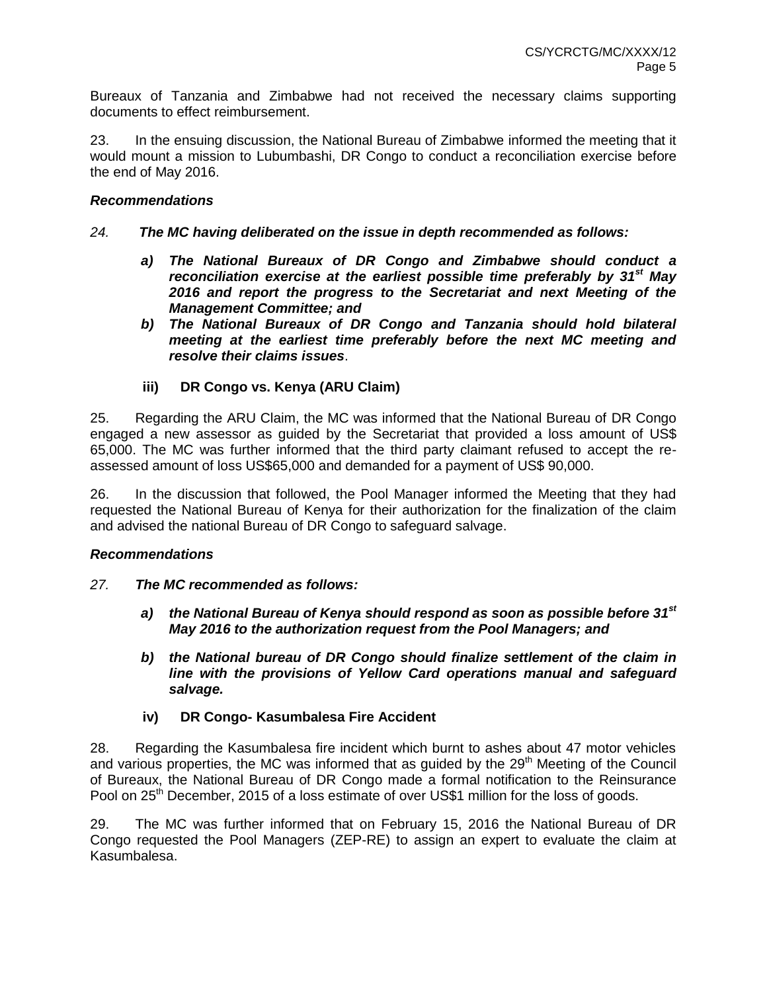Bureaux of Tanzania and Zimbabwe had not received the necessary claims supporting documents to effect reimbursement.

23. In the ensuing discussion, the National Bureau of Zimbabwe informed the meeting that it would mount a mission to Lubumbashi, DR Congo to conduct a reconciliation exercise before the end of May 2016.

## *Recommendations*

## *24. The MC having deliberated on the issue in depth recommended as follows:*

- *a) The National Bureaux of DR Congo and Zimbabwe should conduct a reconciliation exercise at the earliest possible time preferably by 31st May 2016 and report the progress to the Secretariat and next Meeting of the Management Committee; and*
- *b) The National Bureaux of DR Congo and Tanzania should hold bilateral meeting at the earliest time preferably before the next MC meeting and resolve their claims issues*.
- **iii) DR Congo vs. Kenya (ARU Claim)**

25. Regarding the ARU Claim, the MC was informed that the National Bureau of DR Congo engaged a new assessor as guided by the Secretariat that provided a loss amount of US\$ 65,000. The MC was further informed that the third party claimant refused to accept the reassessed amount of loss US\$65,000 and demanded for a payment of US\$ 90,000.

26. In the discussion that followed, the Pool Manager informed the Meeting that they had requested the National Bureau of Kenya for their authorization for the finalization of the claim and advised the national Bureau of DR Congo to safeguard salvage.

#### *Recommendations*

- *27. The MC recommended as follows:*
	- *a) the National Bureau of Kenya should respond as soon as possible before 31st May 2016 to the authorization request from the Pool Managers; and*
	- *b) the National bureau of DR Congo should finalize settlement of the claim in line with the provisions of Yellow Card operations manual and safeguard salvage.*
	- **iv) DR Congo- Kasumbalesa Fire Accident**

28. Regarding the Kasumbalesa fire incident which burnt to ashes about 47 motor vehicles and various properties, the MC was informed that as guided by the 29<sup>th</sup> Meeting of the Council of Bureaux, the National Bureau of DR Congo made a formal notification to the Reinsurance Pool on 25<sup>th</sup> December, 2015 of a loss estimate of over US\$1 million for the loss of goods.

29. The MC was further informed that on February 15, 2016 the National Bureau of DR Congo requested the Pool Managers (ZEP-RE) to assign an expert to evaluate the claim at Kasumbalesa.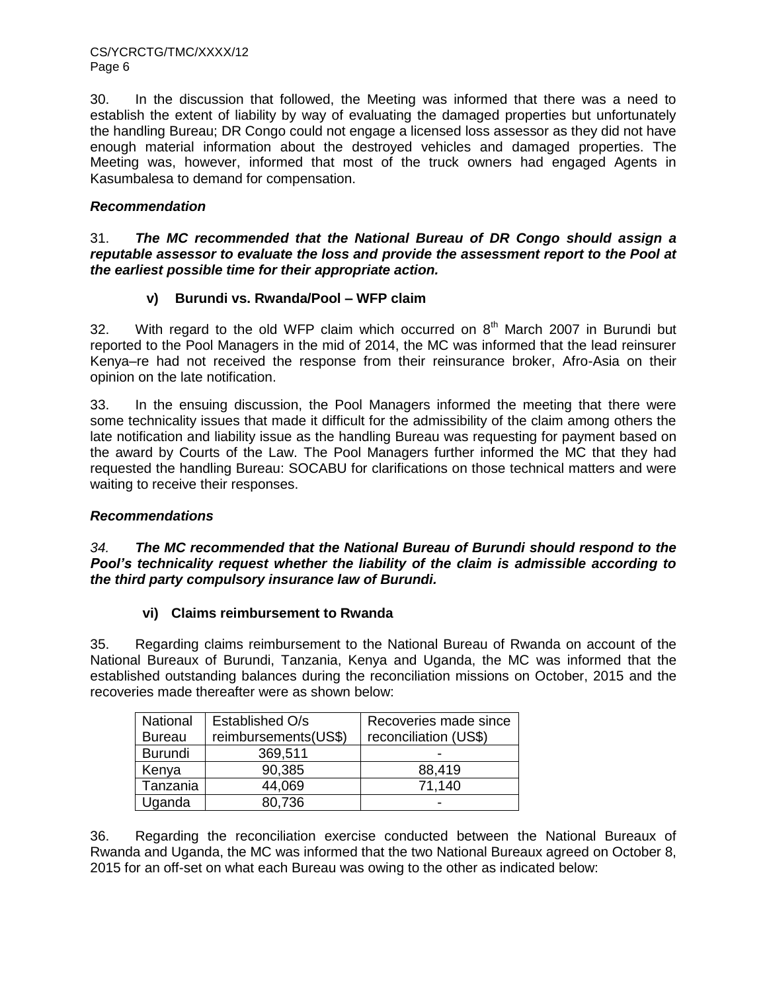30. In the discussion that followed, the Meeting was informed that there was a need to establish the extent of liability by way of evaluating the damaged properties but unfortunately the handling Bureau; DR Congo could not engage a licensed loss assessor as they did not have enough material information about the destroyed vehicles and damaged properties. The Meeting was, however, informed that most of the truck owners had engaged Agents in Kasumbalesa to demand for compensation.

# *Recommendation*

31. *The MC recommended that the National Bureau of DR Congo should assign a reputable assessor to evaluate the loss and provide the assessment report to the Pool at the earliest possible time for their appropriate action.*

# **v) Burundi vs. Rwanda/Pool – WFP claim**

32. With regard to the old WFP claim which occurred on  $8<sup>th</sup>$  March 2007 in Burundi but reported to the Pool Managers in the mid of 2014, the MC was informed that the lead reinsurer Kenya–re had not received the response from their reinsurance broker, Afro-Asia on their opinion on the late notification.

33. In the ensuing discussion, the Pool Managers informed the meeting that there were some technicality issues that made it difficult for the admissibility of the claim among others the late notification and liability issue as the handling Bureau was requesting for payment based on the award by Courts of the Law. The Pool Managers further informed the MC that they had requested the handling Bureau: SOCABU for clarifications on those technical matters and were waiting to receive their responses.

# *Recommendations*

*34. The MC recommended that the National Bureau of Burundi should respond to the Pool's technicality request whether the liability of the claim is admissible according to the third party compulsory insurance law of Burundi.*

# **vi) Claims reimbursement to Rwanda**

35. Regarding claims reimbursement to the National Bureau of Rwanda on account of the National Bureaux of Burundi, Tanzania, Kenya and Uganda, the MC was informed that the established outstanding balances during the reconciliation missions on October, 2015 and the recoveries made thereafter were as shown below:

| National       | Established O/s      | Recoveries made since |
|----------------|----------------------|-----------------------|
| <b>Bureau</b>  | reimbursements(US\$) | reconciliation (US\$) |
| <b>Burundi</b> | 369,511              |                       |
| Kenya          | 90,385               | 88,419                |
| Tanzania       | 44,069               | 71,140                |
| Uganda         | 80,736               |                       |

36. Regarding the reconciliation exercise conducted between the National Bureaux of Rwanda and Uganda, the MC was informed that the two National Bureaux agreed on October 8, 2015 for an off-set on what each Bureau was owing to the other as indicated below: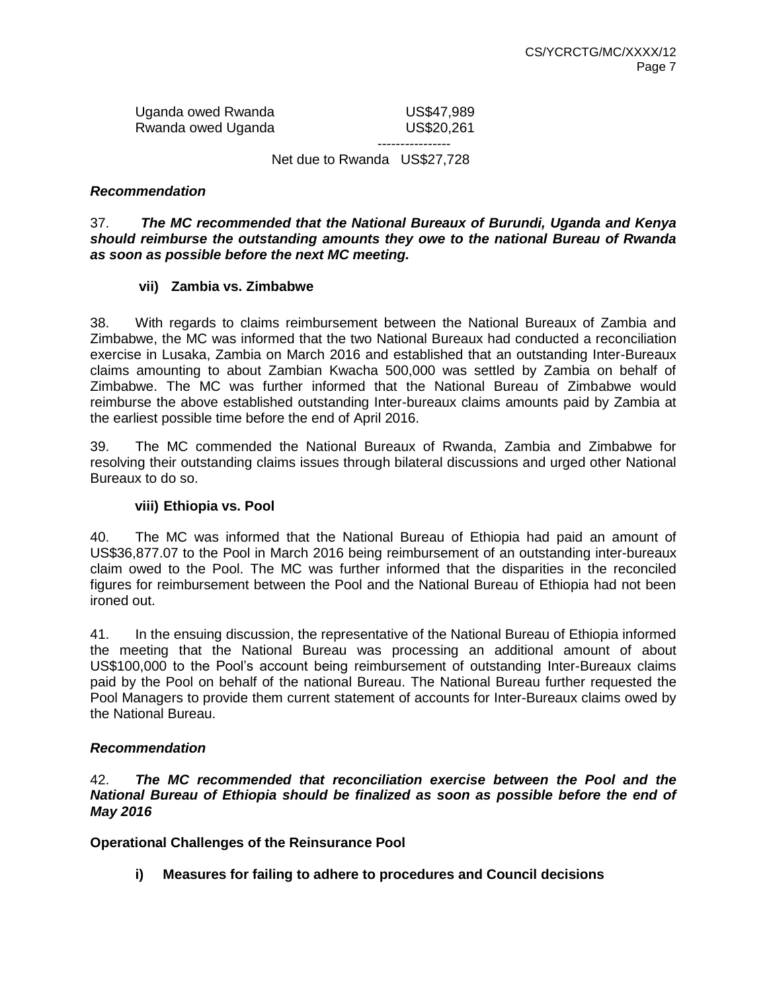Uganda owed Rwanda **US\$47,989** Rwanda owed Uganda **National Control Control** US\$20,261

 ---------------- Net due to Rwanda US\$27,728

## *Recommendation*

37. *The MC recommended that the National Bureaux of Burundi, Uganda and Kenya should reimburse the outstanding amounts they owe to the national Bureau of Rwanda as soon as possible before the next MC meeting.*

## **vii) Zambia vs. Zimbabwe**

38. With regards to claims reimbursement between the National Bureaux of Zambia and Zimbabwe, the MC was informed that the two National Bureaux had conducted a reconciliation exercise in Lusaka, Zambia on March 2016 and established that an outstanding Inter-Bureaux claims amounting to about Zambian Kwacha 500,000 was settled by Zambia on behalf of Zimbabwe. The MC was further informed that the National Bureau of Zimbabwe would reimburse the above established outstanding Inter-bureaux claims amounts paid by Zambia at the earliest possible time before the end of April 2016.

39. The MC commended the National Bureaux of Rwanda, Zambia and Zimbabwe for resolving their outstanding claims issues through bilateral discussions and urged other National Bureaux to do so.

#### **viii) Ethiopia vs. Pool**

40. The MC was informed that the National Bureau of Ethiopia had paid an amount of US\$36,877.07 to the Pool in March 2016 being reimbursement of an outstanding inter-bureaux claim owed to the Pool. The MC was further informed that the disparities in the reconciled figures for reimbursement between the Pool and the National Bureau of Ethiopia had not been ironed out.

41. In the ensuing discussion, the representative of the National Bureau of Ethiopia informed the meeting that the National Bureau was processing an additional amount of about US\$100,000 to the Pool's account being reimbursement of outstanding Inter-Bureaux claims paid by the Pool on behalf of the national Bureau. The National Bureau further requested the Pool Managers to provide them current statement of accounts for Inter-Bureaux claims owed by the National Bureau.

#### *Recommendation*

42. *The MC recommended that reconciliation exercise between the Pool and the National Bureau of Ethiopia should be finalized as soon as possible before the end of May 2016*

**Operational Challenges of the Reinsurance Pool**

**i) Measures for failing to adhere to procedures and Council decisions**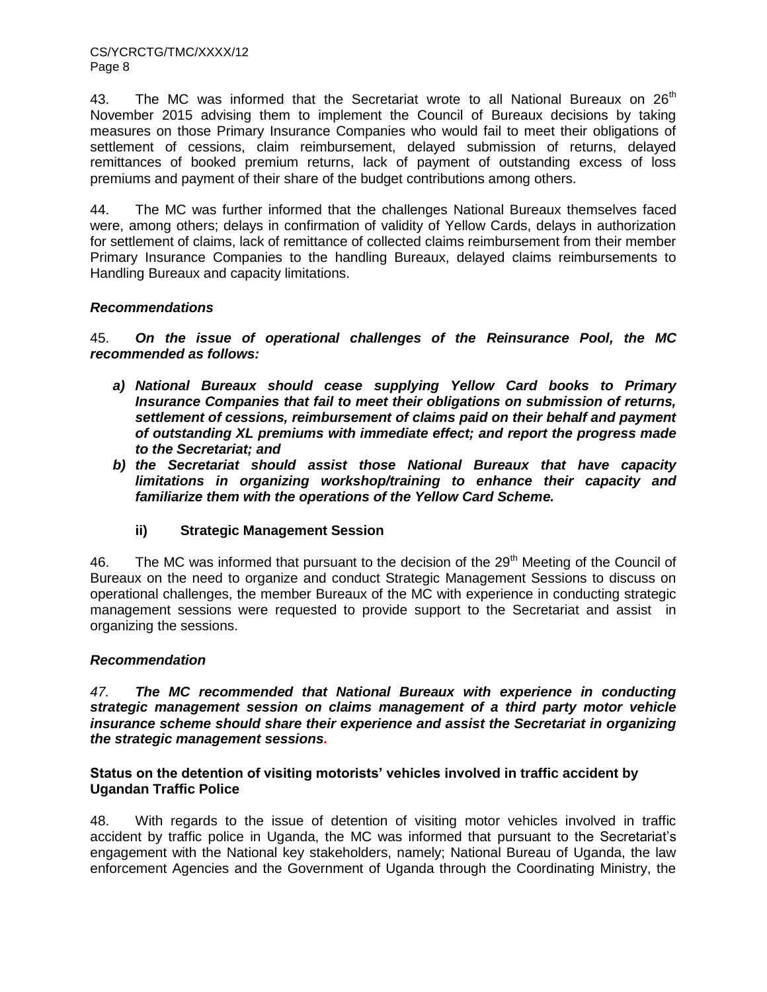43. The MC was informed that the Secretariat wrote to all National Bureaux on  $26<sup>th</sup>$ November 2015 advising them to implement the Council of Bureaux decisions by taking measures on those Primary Insurance Companies who would fail to meet their obligations of settlement of cessions, claim reimbursement, delayed submission of returns, delayed remittances of booked premium returns, lack of payment of outstanding excess of loss premiums and payment of their share of the budget contributions among others.

44. The MC was further informed that the challenges National Bureaux themselves faced were, among others; delays in confirmation of validity of Yellow Cards, delays in authorization for settlement of claims, lack of remittance of collected claims reimbursement from their member Primary Insurance Companies to the handling Bureaux, delayed claims reimbursements to Handling Bureaux and capacity limitations.

# *Recommendations*

45. *On the issue of operational challenges of the Reinsurance Pool, the MC recommended as follows:*

- *a) National Bureaux should cease supplying Yellow Card books to Primary Insurance Companies that fail to meet their obligations on submission of returns, settlement of cessions, reimbursement of claims paid on their behalf and payment of outstanding XL premiums with immediate effect; and report the progress made to the Secretariat; and*
- *b) the Secretariat should assist those National Bureaux that have capacity limitations in organizing workshop/training to enhance their capacity and familiarize them with the operations of the Yellow Card Scheme.*
	- **ii) Strategic Management Session**

46. The MC was informed that pursuant to the decision of the  $29<sup>th</sup>$  Meeting of the Council of Bureaux on the need to organize and conduct Strategic Management Sessions to discuss on operational challenges, the member Bureaux of the MC with experience in conducting strategic management sessions were requested to provide support to the Secretariat and assist in organizing the sessions.

# *Recommendation*

*47. The MC recommended that National Bureaux with experience in conducting strategic management session on claims management of a third party motor vehicle insurance scheme should share their experience and assist the Secretariat in organizing the strategic management sessions.*

## **Status on the detention of visiting motorists' vehicles involved in traffic accident by Ugandan Traffic Police**

48. With regards to the issue of detention of visiting motor vehicles involved in traffic accident by traffic police in Uganda, the MC was informed that pursuant to the Secretariat's engagement with the National key stakeholders, namely; National Bureau of Uganda, the law enforcement Agencies and the Government of Uganda through the Coordinating Ministry, the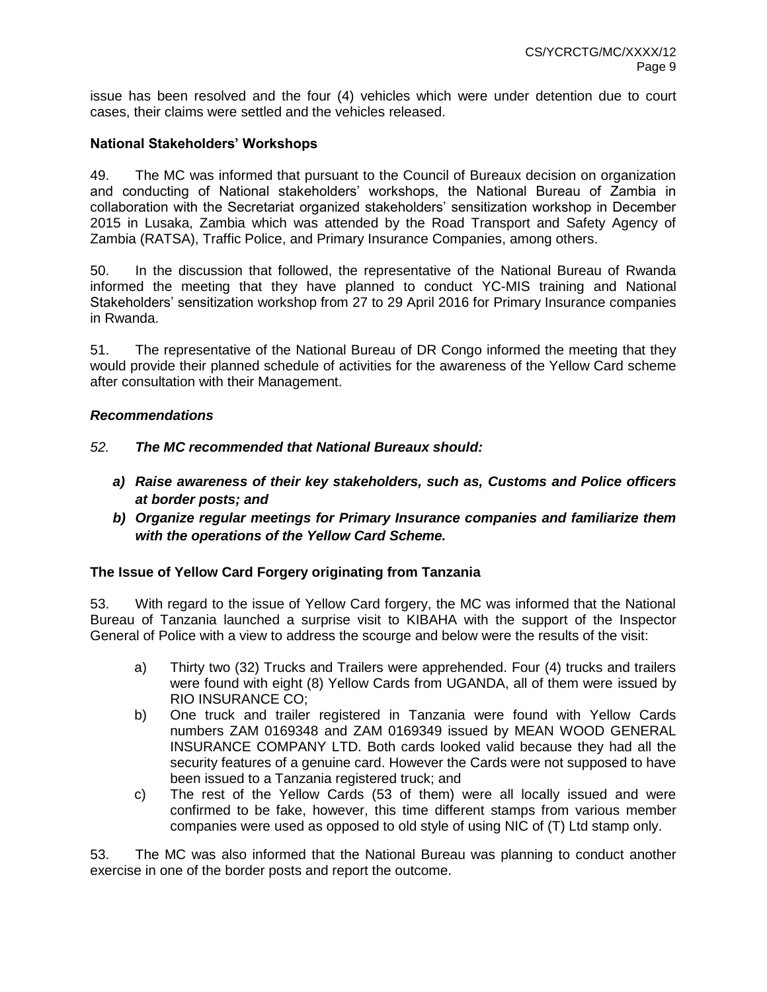issue has been resolved and the four (4) vehicles which were under detention due to court cases, their claims were settled and the vehicles released.

## **National Stakeholders' Workshops**

49. The MC was informed that pursuant to the Council of Bureaux decision on organization and conducting of National stakeholders' workshops, the National Bureau of Zambia in collaboration with the Secretariat organized stakeholders' sensitization workshop in December 2015 in Lusaka, Zambia which was attended by the Road Transport and Safety Agency of Zambia (RATSA), Traffic Police, and Primary Insurance Companies, among others.

50. In the discussion that followed, the representative of the National Bureau of Rwanda informed the meeting that they have planned to conduct YC-MIS training and National Stakeholders' sensitization workshop from 27 to 29 April 2016 for Primary Insurance companies in Rwanda.

51. The representative of the National Bureau of DR Congo informed the meeting that they would provide their planned schedule of activities for the awareness of the Yellow Card scheme after consultation with their Management.

#### *Recommendations*

# *52. The MC recommended that National Bureaux should:*

- *a) Raise awareness of their key stakeholders, such as, Customs and Police officers at border posts; and*
- *b) Organize regular meetings for Primary Insurance companies and familiarize them with the operations of the Yellow Card Scheme.*

# **The Issue of Yellow Card Forgery originating from Tanzania**

53. With regard to the issue of Yellow Card forgery, the MC was informed that the National Bureau of Tanzania launched a surprise visit to KIBAHA with the support of the Inspector General of Police with a view to address the scourge and below were the results of the visit:

- a) Thirty two (32) Trucks and Trailers were apprehended. Four (4) trucks and trailers were found with eight (8) Yellow Cards from UGANDA, all of them were issued by RIO INSURANCE CO;
- b) One truck and trailer registered in Tanzania were found with Yellow Cards numbers ZAM 0169348 and ZAM 0169349 issued by MEAN WOOD GENERAL INSURANCE COMPANY LTD. Both cards looked valid because they had all the security features of a genuine card. However the Cards were not supposed to have been issued to a Tanzania registered truck; and
- c) The rest of the Yellow Cards (53 of them) were all locally issued and were confirmed to be fake, however, this time different stamps from various member companies were used as opposed to old style of using NIC of (T) Ltd stamp only.

53. The MC was also informed that the National Bureau was planning to conduct another exercise in one of the border posts and report the outcome.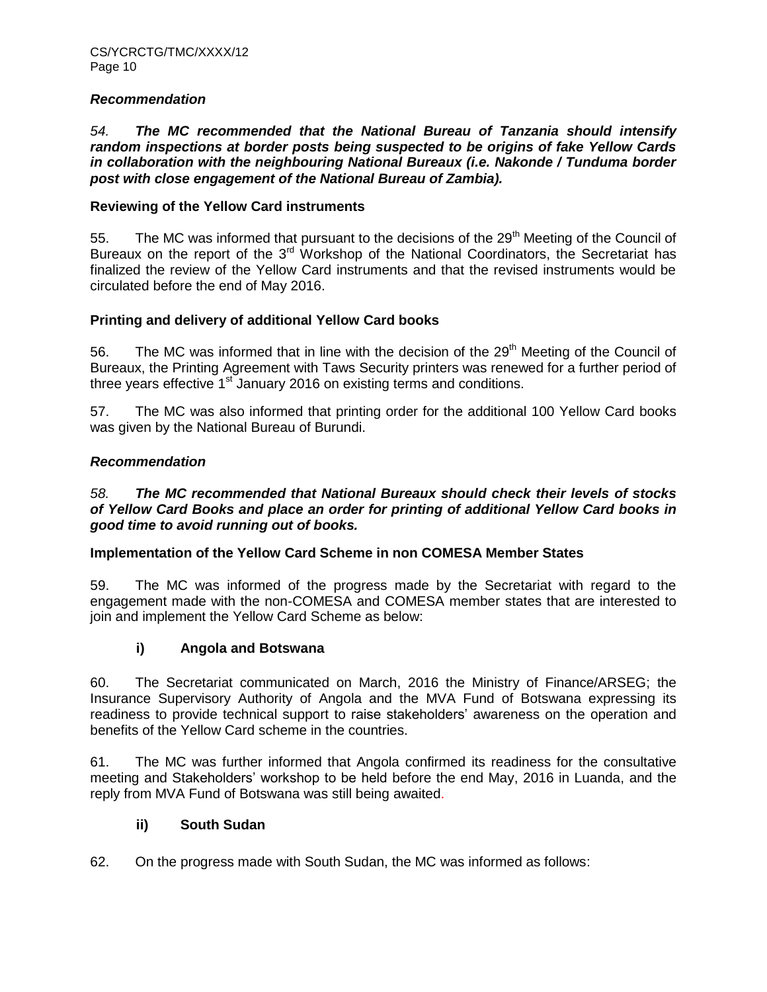### *Recommendation*

*54. The MC recommended that the National Bureau of Tanzania should intensify random inspections at border posts being suspected to be origins of fake Yellow Cards in collaboration with the neighbouring National Bureaux (i.e. Nakonde / Tunduma border post with close engagement of the National Bureau of Zambia).*

## **Reviewing of the Yellow Card instruments**

55. The MC was informed that pursuant to the decisions of the  $29<sup>th</sup>$  Meeting of the Council of Bureaux on the report of the 3<sup>rd</sup> Workshop of the National Coordinators, the Secretariat has finalized the review of the Yellow Card instruments and that the revised instruments would be circulated before the end of May 2016.

# **Printing and delivery of additional Yellow Card books**

56. The MC was informed that in line with the decision of the 29<sup>th</sup> Meeting of the Council of Bureaux, the Printing Agreement with Taws Security printers was renewed for a further period of three years effective  $1<sup>st</sup>$  January 2016 on existing terms and conditions.

57. The MC was also informed that printing order for the additional 100 Yellow Card books was given by the National Bureau of Burundi.

## *Recommendation*

## *58. The MC recommended that National Bureaux should check their levels of stocks of Yellow Card Books and place an order for printing of additional Yellow Card books in good time to avoid running out of books.*

#### **Implementation of the Yellow Card Scheme in non COMESA Member States**

59. The MC was informed of the progress made by the Secretariat with regard to the engagement made with the non-COMESA and COMESA member states that are interested to join and implement the Yellow Card Scheme as below:

#### **i) Angola and Botswana**

60. The Secretariat communicated on March, 2016 the Ministry of Finance/ARSEG; the Insurance Supervisory Authority of Angola and the MVA Fund of Botswana expressing its readiness to provide technical support to raise stakeholders' awareness on the operation and benefits of the Yellow Card scheme in the countries.

61. The MC was further informed that Angola confirmed its readiness for the consultative meeting and Stakeholders' workshop to be held before the end May, 2016 in Luanda, and the reply from MVA Fund of Botswana was still being awaited.

### **ii) South Sudan**

62. On the progress made with South Sudan, the MC was informed as follows: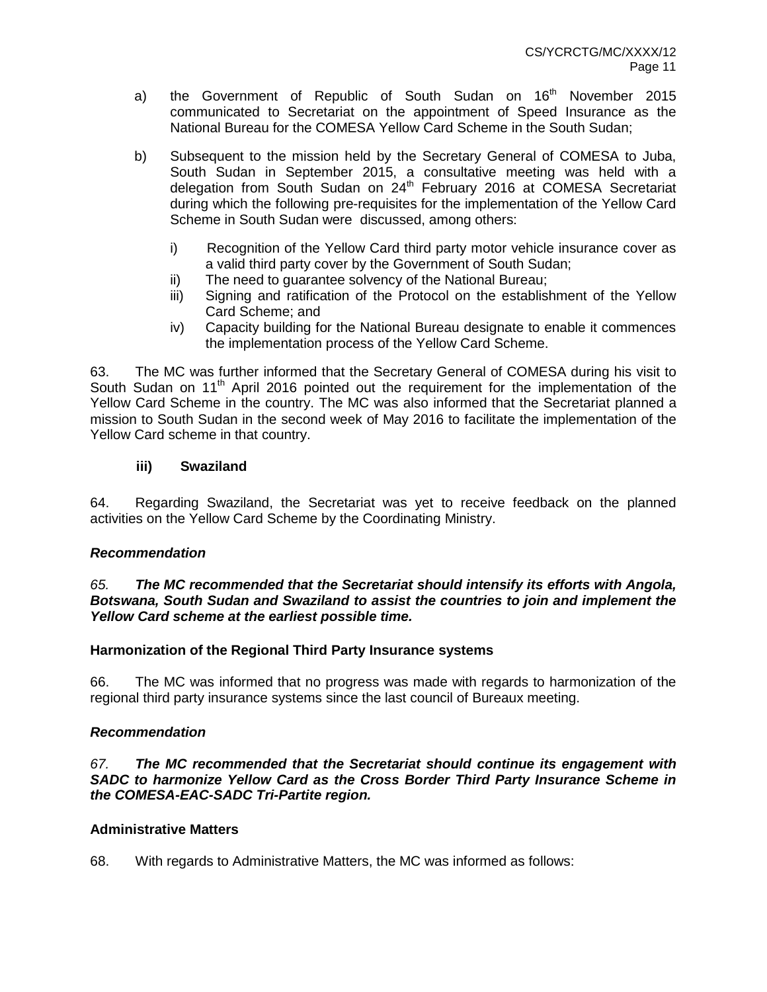- a) the Government of Republic of South Sudan on 16<sup>th</sup> November 2015 communicated to Secretariat on the appointment of Speed Insurance as the National Bureau for the COMESA Yellow Card Scheme in the South Sudan;
- b) Subsequent to the mission held by the Secretary General of COMESA to Juba, South Sudan in September 2015, a consultative meeting was held with a delegation from South Sudan on 24<sup>th</sup> February 2016 at COMESA Secretariat during which the following pre-requisites for the implementation of the Yellow Card Scheme in South Sudan were discussed, among others:
	- i) Recognition of the Yellow Card third party motor vehicle insurance cover as a valid third party cover by the Government of South Sudan;
	- ii) The need to guarantee solvency of the National Bureau;
	- iii) Signing and ratification of the Protocol on the establishment of the Yellow Card Scheme; and
	- iv) Capacity building for the National Bureau designate to enable it commences the implementation process of the Yellow Card Scheme.

63. The MC was further informed that the Secretary General of COMESA during his visit to South Sudan on 11<sup>th</sup> April 2016 pointed out the requirement for the implementation of the Yellow Card Scheme in the country. The MC was also informed that the Secretariat planned a mission to South Sudan in the second week of May 2016 to facilitate the implementation of the Yellow Card scheme in that country.

# **iii) Swaziland**

64. Regarding Swaziland, the Secretariat was yet to receive feedback on the planned activities on the Yellow Card Scheme by the Coordinating Ministry.

# *Recommendation*

## *65. The MC recommended that the Secretariat should intensify its efforts with Angola, Botswana, South Sudan and Swaziland to assist the countries to join and implement the Yellow Card scheme at the earliest possible time.*

# **Harmonization of the Regional Third Party Insurance systems**

66. The MC was informed that no progress was made with regards to harmonization of the regional third party insurance systems since the last council of Bureaux meeting.

# *Recommendation*

*67. The MC recommended that the Secretariat should continue its engagement with SADC to harmonize Yellow Card as the Cross Border Third Party Insurance Scheme in the COMESA-EAC-SADC Tri-Partite region.*

# **Administrative Matters**

68. With regards to Administrative Matters, the MC was informed as follows: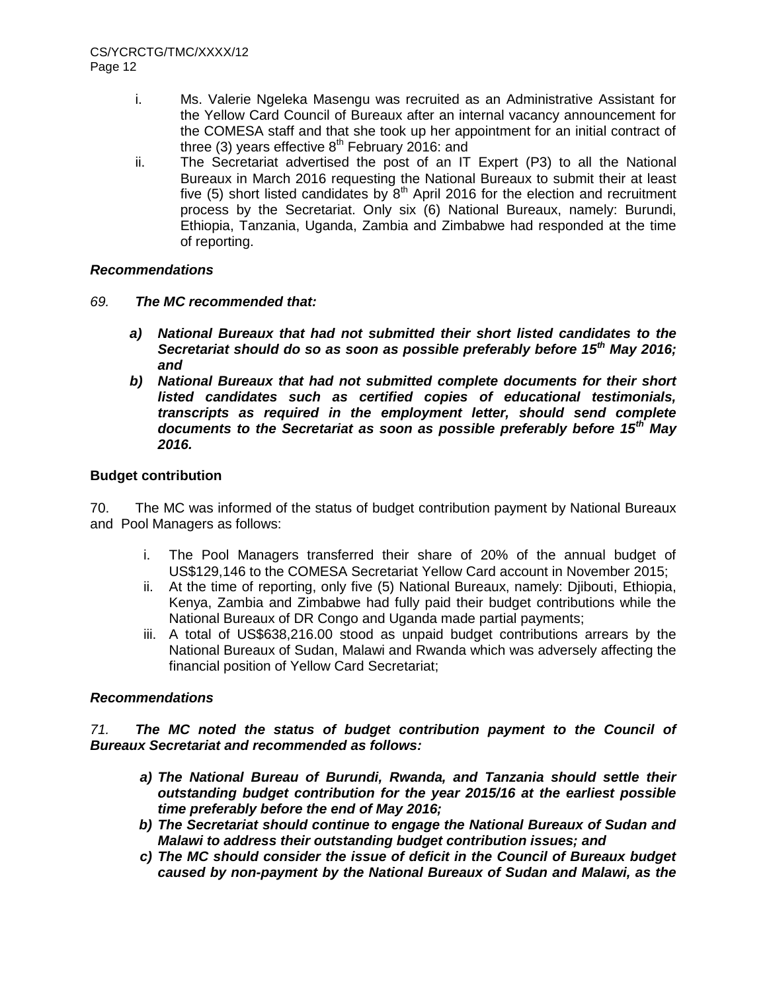- i. Ms. Valerie Ngeleka Masengu was recruited as an Administrative Assistant for the Yellow Card Council of Bureaux after an internal vacancy announcement for the COMESA staff and that she took up her appointment for an initial contract of three (3) years effective  $8<sup>th</sup>$  February 2016: and
- ii. The Secretariat advertised the post of an IT Expert (P3) to all the National Bureaux in March 2016 requesting the National Bureaux to submit their at least five (5) short listed candidates by  $8<sup>th</sup>$  April 2016 for the election and recruitment process by the Secretariat. Only six (6) National Bureaux, namely: Burundi, Ethiopia, Tanzania, Uganda, Zambia and Zimbabwe had responded at the time of reporting.

# *Recommendations*

- *69. The MC recommended that:*
	- *a) National Bureaux that had not submitted their short listed candidates to the Secretariat should do so as soon as possible preferably before 15th May 2016; and*
	- *b) National Bureaux that had not submitted complete documents for their short listed candidates such as certified copies of educational testimonials, transcripts as required in the employment letter, should send complete documents to the Secretariat as soon as possible preferably before 15th May 2016.*

## **Budget contribution**

70. The MC was informed of the status of budget contribution payment by National Bureaux and Pool Managers as follows:

- i. The Pool Managers transferred their share of 20% of the annual budget of US\$129,146 to the COMESA Secretariat Yellow Card account in November 2015;
- ii. At the time of reporting, only five (5) National Bureaux, namely: Djibouti, Ethiopia, Kenya, Zambia and Zimbabwe had fully paid their budget contributions while the National Bureaux of DR Congo and Uganda made partial payments;
- iii. A total of US\$638,216.00 stood as unpaid budget contributions arrears by the National Bureaux of Sudan, Malawi and Rwanda which was adversely affecting the financial position of Yellow Card Secretariat;

# *Recommendations*

*71. The MC noted the status of budget contribution payment to the Council of Bureaux Secretariat and recommended as follows:*

- *a) The National Bureau of Burundi, Rwanda, and Tanzania should settle their outstanding budget contribution for the year 2015/16 at the earliest possible time preferably before the end of May 2016;*
- *b) The Secretariat should continue to engage the National Bureaux of Sudan and Malawi to address their outstanding budget contribution issues; and*
- *c) The MC should consider the issue of deficit in the Council of Bureaux budget caused by non-payment by the National Bureaux of Sudan and Malawi, as the*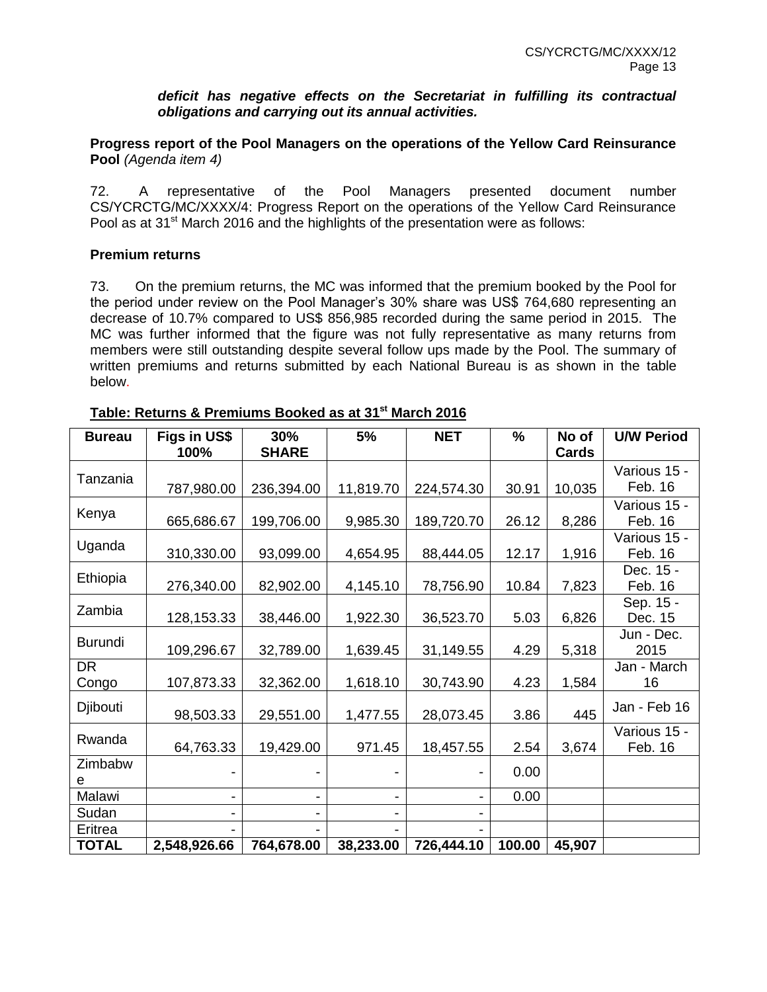*deficit has negative effects on the Secretariat in fulfilling its contractual obligations and carrying out its annual activities.*

**Progress report of the Pool Managers on the operations of the Yellow Card Reinsurance Pool** *(Agenda item 4)*

72. A representative of the Pool Managers presented document number CS/YCRCTG/MC/XXXX/4: Progress Report on the operations of the Yellow Card Reinsurance Pool as at 31<sup>st</sup> March 2016 and the highlights of the presentation were as follows:

#### **Premium returns**

73. On the premium returns, the MC was informed that the premium booked by the Pool for the period under review on the Pool Manager's 30% share was US\$ 764,680 representing an decrease of 10.7% compared to US\$ 856,985 recorded during the same period in 2015. The MC was further informed that the figure was not fully representative as many returns from members were still outstanding despite several follow ups made by the Pool. The summary of written premiums and returns submitted by each National Bureau is as shown in the table below.

| <b>Bureau</b>  | Figs in US\$ | 30%          | 5%        | <b>NET</b> | $\frac{9}{6}$ | No of  | <b>U/W Period</b> |
|----------------|--------------|--------------|-----------|------------|---------------|--------|-------------------|
|                | 100%         | <b>SHARE</b> |           |            |               | Cards  |                   |
| Tanzania       |              |              |           |            |               |        | Various 15 -      |
|                | 787,980.00   | 236,394.00   | 11,819.70 | 224,574.30 | 30.91         | 10,035 | Feb. 16           |
|                |              |              |           |            |               |        | Various 15 -      |
| Kenya          | 665,686.67   | 199,706.00   | 9,985.30  | 189,720.70 | 26.12         | 8,286  | Feb. 16           |
|                |              |              |           |            |               |        | Various 15 -      |
| Uganda         | 310,330.00   | 93,099.00    | 4,654.95  | 88,444.05  | 12.17         | 1,916  | Feb. 16           |
|                |              |              |           |            |               |        | Dec. 15 -         |
| Ethiopia       | 276,340.00   | 82,902.00    | 4,145.10  | 78,756.90  | 10.84         | 7,823  | Feb. 16           |
|                |              |              |           |            |               |        | Sep. 15 -         |
| Zambia         | 128, 153. 33 | 38,446.00    | 1,922.30  | 36,523.70  | 5.03          | 6,826  | Dec. 15           |
|                |              |              |           |            |               |        | Jun - Dec.        |
| <b>Burundi</b> | 109,296.67   | 32,789.00    | 1,639.45  | 31,149.55  | 4.29          | 5,318  | 2015              |
| <b>DR</b>      |              |              |           |            |               |        | Jan - March       |
| Congo          | 107,873.33   | 32,362.00    | 1,618.10  | 30,743.90  | 4.23          | 1,584  | 16                |
|                |              |              |           |            |               |        |                   |
| Djibouti       | 98,503.33    | 29,551.00    | 1,477.55  | 28,073.45  | 3.86          | 445    | Jan - Feb 16      |
|                |              |              |           |            |               |        | Various 15 -      |
| Rwanda         | 64,763.33    | 19,429.00    | 971.45    | 18,457.55  | 2.54          | 3,674  | Feb. 16           |
| Zimbabw        |              |              |           |            | 0.00          |        |                   |
| е              |              |              |           |            |               |        |                   |
| Malawi         | -            | -            |           |            | 0.00          |        |                   |
| Sudan          |              |              |           |            |               |        |                   |
| Eritrea        |              |              |           |            |               |        |                   |
| <b>TOTAL</b>   | 2,548,926.66 | 764,678.00   | 38,233.00 | 726,444.10 | 100.00        | 45,907 |                   |

# **Table: Returns & Premiums Booked as at 31st March 2016**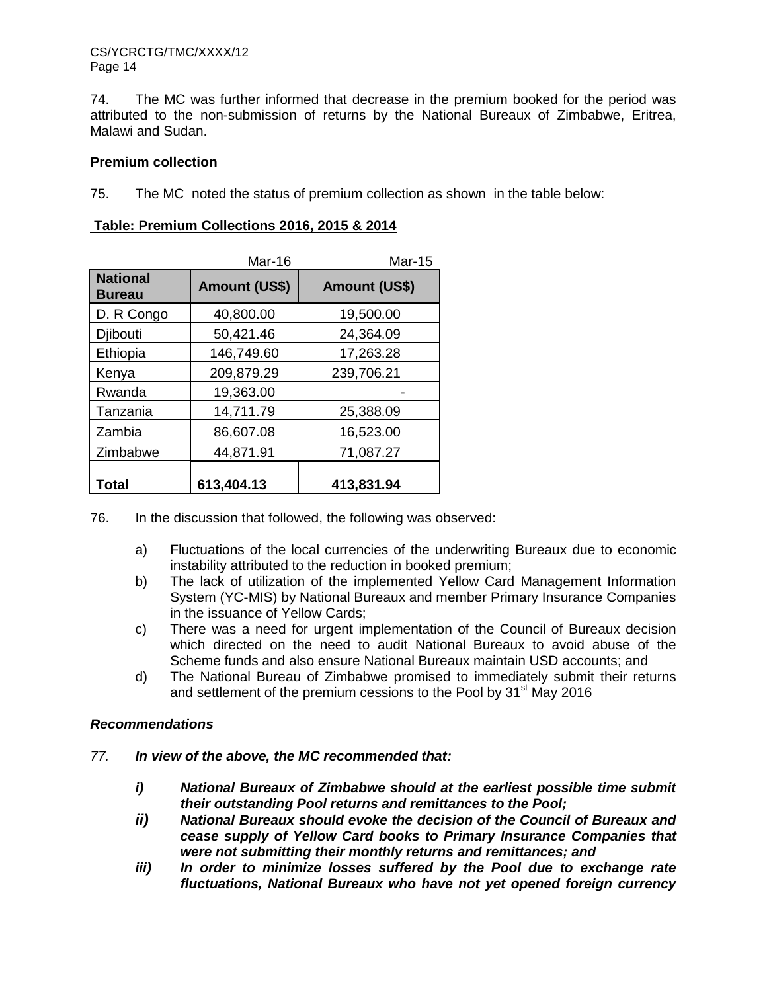74. The MC was further informed that decrease in the premium booked for the period was attributed to the non-submission of returns by the National Bureaux of Zimbabwe, Eritrea, Malawi and Sudan.

## **Premium collection**

75. The MC noted the status of premium collection as shown in the table below:

|                                  | Mar-16               | <b>Mar-15</b>        |
|----------------------------------|----------------------|----------------------|
| <b>National</b><br><b>Bureau</b> | <b>Amount (US\$)</b> | <b>Amount (US\$)</b> |
| D. R Congo                       | 40,800.00            | 19,500.00            |
| Djibouti                         | 50,421.46            | 24,364.09            |
| Ethiopia                         | 146,749.60           | 17,263.28            |
| Kenya                            | 209,879.29           | 239,706.21           |
| Rwanda                           | 19,363.00            |                      |
| Tanzania                         | 14,711.79            | 25,388.09            |
| Zambia                           | 86,607.08            | 16,523.00            |
| Zimbabwe                         | 44,871.91            | 71,087.27            |
| Total                            | 613,404.13           | 413,831.94           |

## **Table: Premium Collections 2016, 2015 & 2014**

76. In the discussion that followed, the following was observed:

- a) Fluctuations of the local currencies of the underwriting Bureaux due to economic instability attributed to the reduction in booked premium;
- b) The lack of utilization of the implemented Yellow Card Management Information System (YC-MIS) by National Bureaux and member Primary Insurance Companies in the issuance of Yellow Cards;
- c) There was a need for urgent implementation of the Council of Bureaux decision which directed on the need to audit National Bureaux to avoid abuse of the Scheme funds and also ensure National Bureaux maintain USD accounts; and
- d) The National Bureau of Zimbabwe promised to immediately submit their returns and settlement of the premium cessions to the Pool by 31<sup>st</sup> May 2016

# *Recommendations*

- *77. In view of the above, the MC recommended that:*
	- *i) National Bureaux of Zimbabwe should at the earliest possible time submit their outstanding Pool returns and remittances to the Pool;*
	- *ii) National Bureaux should evoke the decision of the Council of Bureaux and cease supply of Yellow Card books to Primary Insurance Companies that were not submitting their monthly returns and remittances; and*
	- *iii) In order to minimize losses suffered by the Pool due to exchange rate fluctuations, National Bureaux who have not yet opened foreign currency*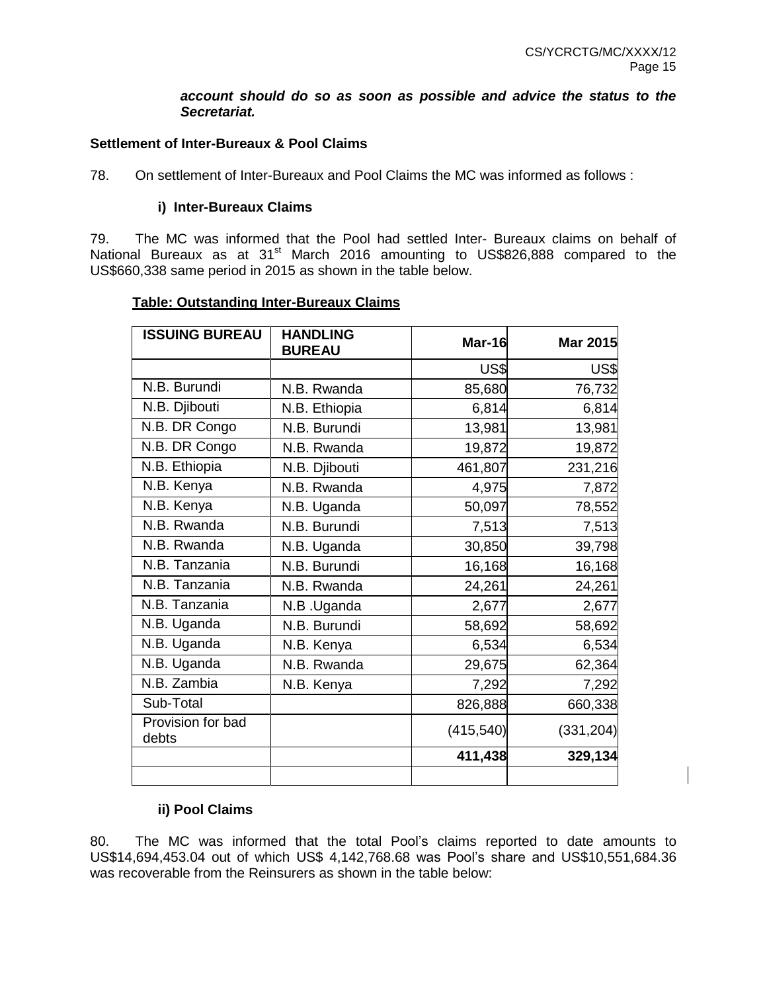#### *account should do so as soon as possible and advice the status to the Secretariat.*

## **Settlement of Inter-Bureaux & Pool Claims**

78. On settlement of Inter-Bureaux and Pool Claims the MC was informed as follows :

#### **i) Inter-Bureaux Claims**

79. The MC was informed that the Pool had settled Inter- Bureaux claims on behalf of National Bureaux as at  $31<sup>st</sup>$  March 2016 amounting to US\$826,888 compared to the US\$660,338 same period in 2015 as shown in the table below.

#### **Table: Outstanding Inter-Bureaux Claims**

| <b>ISSUING BUREAU</b>      | <b>HANDLING</b><br><b>BUREAU</b> | Mar-16     | <b>Mar 2015</b> |
|----------------------------|----------------------------------|------------|-----------------|
|                            |                                  | US\$       | US\$            |
| N.B. Burundi               | N.B. Rwanda                      | 85,680     | 76,732          |
| N.B. Djibouti              | N.B. Ethiopia                    | 6,814      | 6,814           |
| N.B. DR Congo              | N.B. Burundi                     | 13,981     | 13,981          |
| N.B. DR Congo              | N.B. Rwanda                      | 19,872     | 19,872          |
| N.B. Ethiopia              | N.B. Djibouti                    | 461,807    | 231,216         |
| N.B. Kenya                 | N.B. Rwanda                      | 4,975      | 7,872           |
| N.B. Kenya                 | N.B. Uganda                      | 50,097     | 78,552          |
| N.B. Rwanda                | N.B. Burundi                     | 7,513      | 7,513           |
| N.B. Rwanda                | N.B. Uganda                      | 30,850     | 39,798          |
| N.B. Tanzania              | N.B. Burundi                     | 16,168     | 16,168          |
| N.B. Tanzania              | N.B. Rwanda                      | 24,261     | 24,261          |
| N.B. Tanzania              | N.B .Uganda                      | 2,677      | 2,677           |
| N.B. Uganda                | N.B. Burundi                     | 58,692     | 58,692          |
| N.B. Uganda                | N.B. Kenya                       | 6,534      | 6,534           |
| N.B. Uganda                | N.B. Rwanda                      | 29,675     | 62,364          |
| N.B. Zambia                | N.B. Kenya                       | 7,292      | 7,292           |
| Sub-Total                  |                                  | 826,888    | 660,338         |
| Provision for bad<br>debts |                                  | (415, 540) | (331, 204)      |
|                            |                                  | 411,438    | 329,134         |
|                            |                                  |            |                 |

# **ii) Pool Claims**

80. The MC was informed that the total Pool's claims reported to date amounts to US\$14,694,453.04 out of which US\$ 4,142,768.68 was Pool's share and US\$10,551,684.36 was recoverable from the Reinsurers as shown in the table below: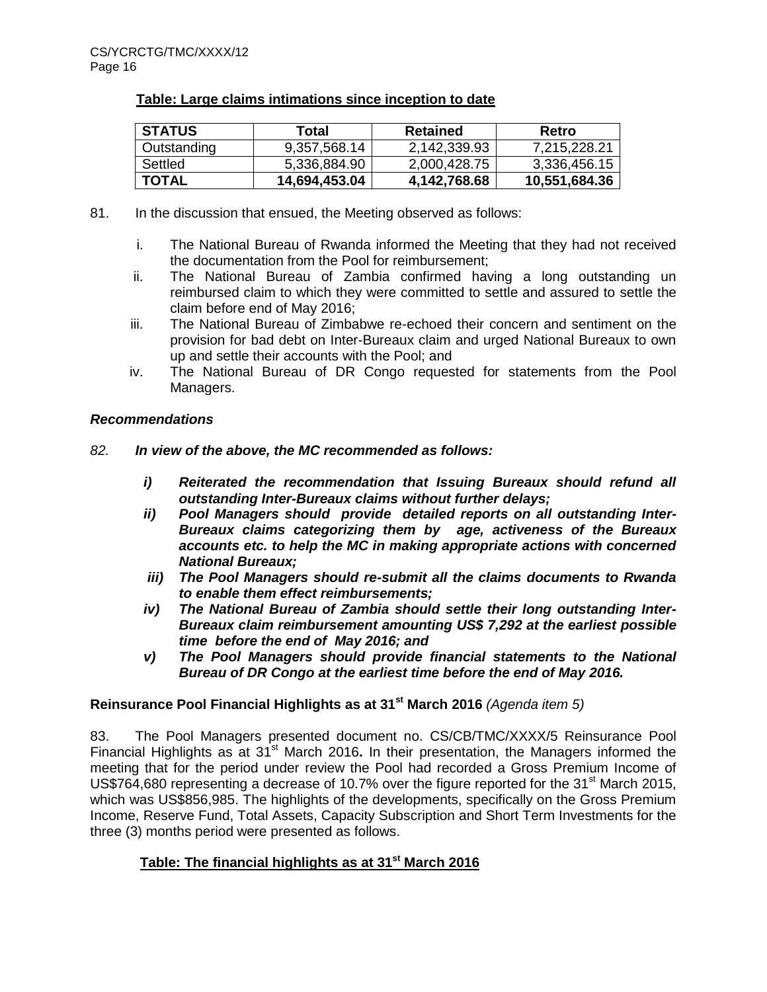## **Table: Large claims intimations since inception to date**

| <b>STATUS</b> | Total         | <b>Retained</b> | Retro         |
|---------------|---------------|-----------------|---------------|
| Outstanding   | 9,357,568.14  | 2,142,339.93    | 7,215,228.21  |
| Settled       | 5,336,884.90  | 2,000,428.75    | 3,336,456.15  |
| <b>TOTAL</b>  | 14,694,453.04 | 4,142,768.68    | 10,551,684.36 |

- 81. In the discussion that ensued, the Meeting observed as follows:
	- i. The National Bureau of Rwanda informed the Meeting that they had not received the documentation from the Pool for reimbursement;
	- ii. The National Bureau of Zambia confirmed having a long outstanding un reimbursed claim to which they were committed to settle and assured to settle the claim before end of May 2016;
	- iii. The National Bureau of Zimbabwe re-echoed their concern and sentiment on the provision for bad debt on Inter-Bureaux claim and urged National Bureaux to own up and settle their accounts with the Pool; and
	- iv. The National Bureau of DR Congo requested for statements from the Pool Managers.

## *Recommendations*

- *82. In view of the above, the MC recommended as follows:*
	- *i) Reiterated the recommendation that Issuing Bureaux should refund all outstanding Inter-Bureaux claims without further delays;*
	- *ii) Pool Managers should provide detailed reports on all outstanding Inter-Bureaux claims categorizing them by age, activeness of the Bureaux accounts etc. to help the MC in making appropriate actions with concerned National Bureaux;*
	- *iii) The Pool Managers should re-submit all the claims documents to Rwanda to enable them effect reimbursements;*
	- *iv) The National Bureau of Zambia should settle their long outstanding Inter-Bureaux claim reimbursement amounting US\$ 7,292 at the earliest possible time before the end of May 2016; and*
	- *v) The Pool Managers should provide financial statements to the National Bureau of DR Congo at the earliest time before the end of May 2016.*

# **Reinsurance Pool Financial Highlights as at 31st March 2016** *(Agenda item 5)*

83. The Pool Managers presented document no. CS/CB/TMC/XXXX/5 Reinsurance Pool Financial Highlights as at 31<sup>st</sup> March 2016. In their presentation, the Managers informed the meeting that for the period under review the Pool had recorded a Gross Premium Income of US\$764,680 representing a decrease of 10.7% over the figure reported for the 31 $^{\rm st}$  March 2015, which was US\$856,985. The highlights of the developments, specifically on the Gross Premium Income, Reserve Fund, Total Assets, Capacity Subscription and Short Term Investments for the three (3) months period were presented as follows.

# **Table: The financial highlights as at 31st March 2016**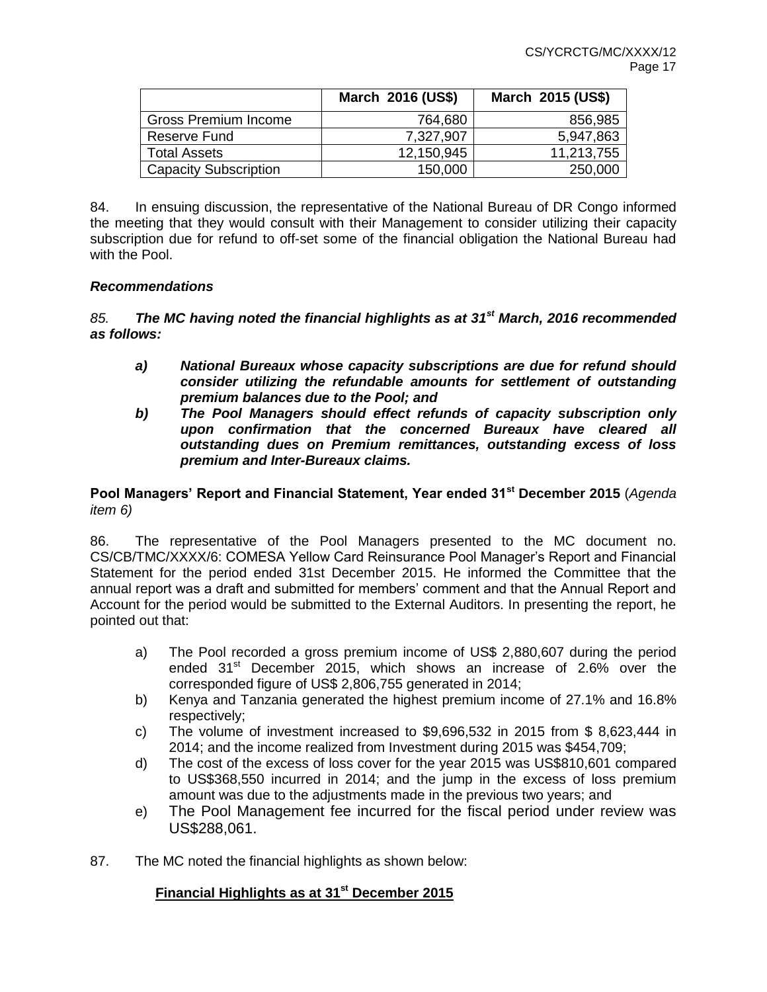|                              | March 2016 (US\$) | March 2015 (US\$) |
|------------------------------|-------------------|-------------------|
| <b>Gross Premium Income</b>  | 764,680           | 856,985           |
| Reserve Fund                 | 7,327,907         | 5,947,863         |
| <b>Total Assets</b>          | 12,150,945        | 11,213,755        |
| <b>Capacity Subscription</b> | 150,000           | 250,000           |

84. In ensuing discussion, the representative of the National Bureau of DR Congo informed the meeting that they would consult with their Management to consider utilizing their capacity subscription due for refund to off-set some of the financial obligation the National Bureau had with the Pool.

## *Recommendations*

*85. The MC having noted the financial highlights as at 31st March, 2016 recommended as follows:*

- *a) National Bureaux whose capacity subscriptions are due for refund should consider utilizing the refundable amounts for settlement of outstanding premium balances due to the Pool; and*
- *b) The Pool Managers should effect refunds of capacity subscription only upon confirmation that the concerned Bureaux have cleared all outstanding dues on Premium remittances, outstanding excess of loss premium and Inter-Bureaux claims.*

## **Pool Managers' Report and Financial Statement, Year ended 31st December 2015** (*Agenda item 6)*

86. The representative of the Pool Managers presented to the MC document no. CS/CB/TMC/XXXX/6: COMESA Yellow Card Reinsurance Pool Manager's Report and Financial Statement for the period ended 31st December 2015. He informed the Committee that the annual report was a draft and submitted for members' comment and that the Annual Report and Account for the period would be submitted to the External Auditors. In presenting the report, he pointed out that:

- a) The Pool recorded a gross premium income of US\$ 2,880,607 during the period ended  $31<sup>st</sup>$  December 2015, which shows an increase of 2.6% over the corresponded figure of US\$ 2,806,755 generated in 2014;
- b) Kenya and Tanzania generated the highest premium income of 27.1% and 16.8% respectively;
- c) The volume of investment increased to \$9,696,532 in 2015 from \$ 8,623,444 in 2014; and the income realized from Investment during 2015 was \$454,709;
- d) The cost of the excess of loss cover for the year 2015 was US\$810,601 compared to US\$368,550 incurred in 2014; and the jump in the excess of loss premium amount was due to the adjustments made in the previous two years; and
- e) The Pool Management fee incurred for the fiscal period under review was US\$288,061.
- 87. The MC noted the financial highlights as shown below:

# **Financial Highlights as at 31st December 2015**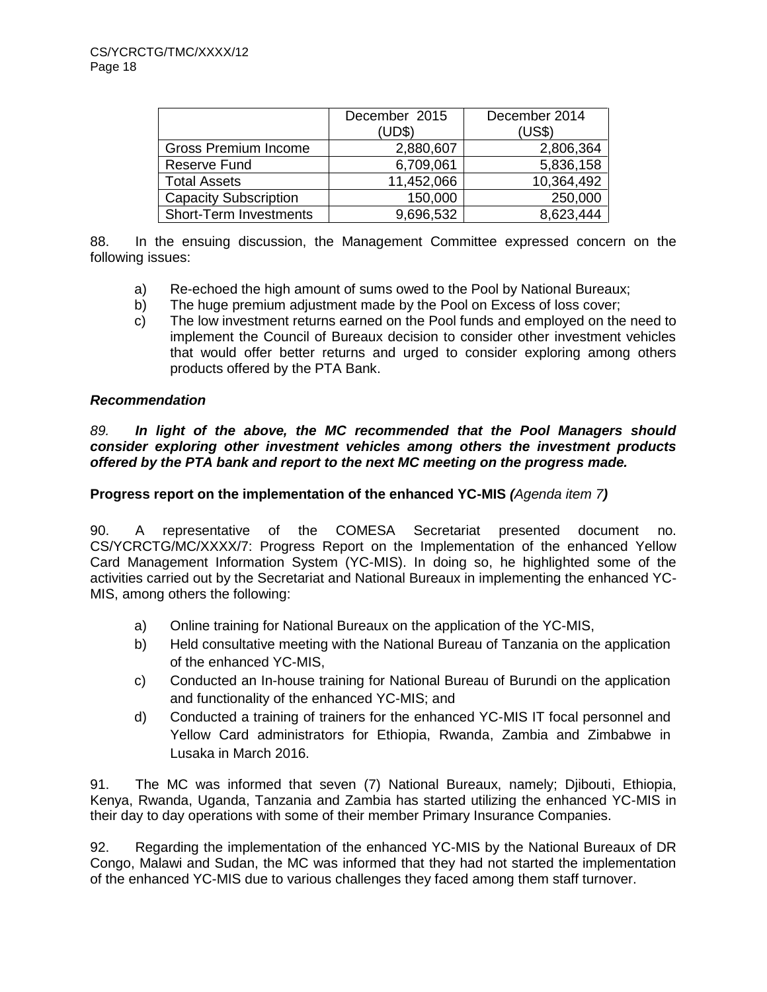|                               | December 2015 | December 2014 |
|-------------------------------|---------------|---------------|
|                               | (UD\$)        | (US\$)        |
| <b>Gross Premium Income</b>   | 2,880,607     | 2,806,364     |
| <b>Reserve Fund</b>           | 6,709,061     | 5,836,158     |
| <b>Total Assets</b>           | 11,452,066    | 10,364,492    |
| <b>Capacity Subscription</b>  | 150,000       | 250,000       |
| <b>Short-Term Investments</b> | 9,696,532     | 8,623,444     |

88. In the ensuing discussion, the Management Committee expressed concern on the following issues:

- a) Re-echoed the high amount of sums owed to the Pool by National Bureaux;
- b) The huge premium adjustment made by the Pool on Excess of loss cover;
- c) The low investment returns earned on the Pool funds and employed on the need to implement the Council of Bureaux decision to consider other investment vehicles that would offer better returns and urged to consider exploring among others products offered by the PTA Bank.

## *Recommendation*

*89. In light of the above, the MC recommended that the Pool Managers should consider exploring other investment vehicles among others the investment products offered by the PTA bank and report to the next MC meeting on the progress made.* 

## **Progress report on the implementation of the enhanced YC-MIS** *(Agenda item 7)*

90. A representative of the COMESA Secretariat presented document no. CS/YCRCTG/MC/XXXX/7: Progress Report on the Implementation of the enhanced Yellow Card Management Information System (YC-MIS). In doing so, he highlighted some of the activities carried out by the Secretariat and National Bureaux in implementing the enhanced YC-MIS, among others the following:

- a) Online training for National Bureaux on the application of the YC-MIS,
- b) Held consultative meeting with the National Bureau of Tanzania on the application of the enhanced YC-MIS,
- c) Conducted an In-house training for National Bureau of Burundi on the application and functionality of the enhanced YC-MIS; and
- d) Conducted a training of trainers for the enhanced YC-MIS IT focal personnel and Yellow Card administrators for Ethiopia, Rwanda, Zambia and Zimbabwe in Lusaka in March 2016.

91. The MC was informed that seven (7) National Bureaux, namely; Djibouti, Ethiopia, Kenya, Rwanda, Uganda, Tanzania and Zambia has started utilizing the enhanced YC-MIS in their day to day operations with some of their member Primary Insurance Companies.

92. Regarding the implementation of the enhanced YC-MIS by the National Bureaux of DR Congo, Malawi and Sudan, the MC was informed that they had not started the implementation of the enhanced YC-MIS due to various challenges they faced among them staff turnover.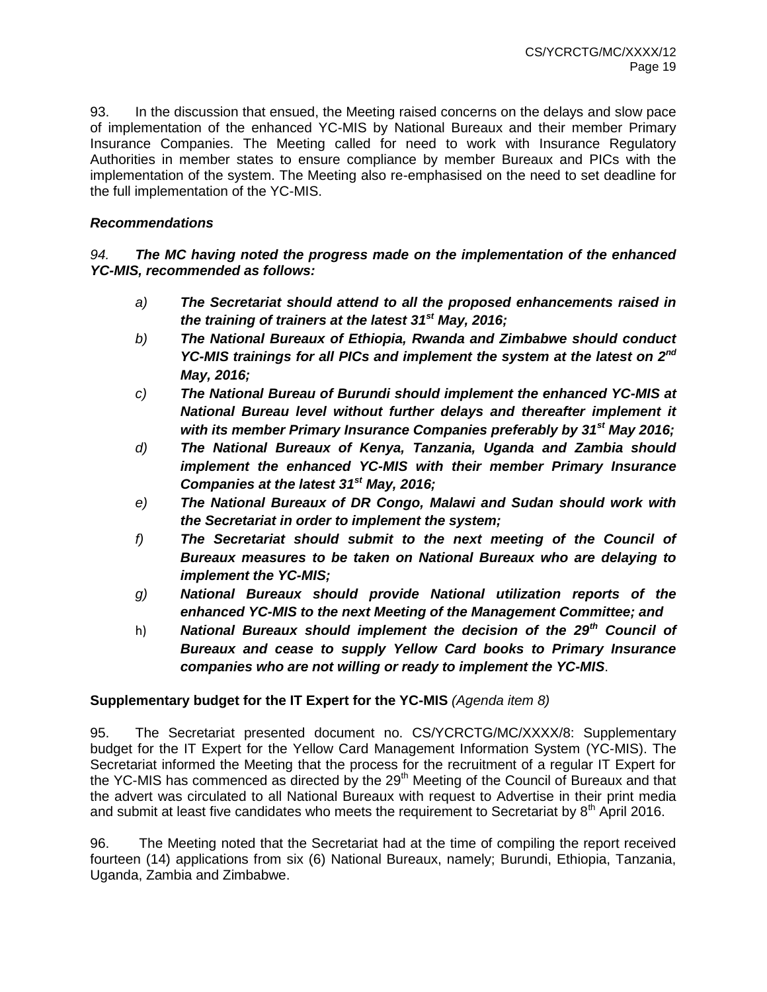93. In the discussion that ensued, the Meeting raised concerns on the delays and slow pace of implementation of the enhanced YC-MIS by National Bureaux and their member Primary Insurance Companies. The Meeting called for need to work with Insurance Regulatory Authorities in member states to ensure compliance by member Bureaux and PICs with the implementation of the system. The Meeting also re-emphasised on the need to set deadline for the full implementation of the YC-MIS.

# *Recommendations*

*94. The MC having noted the progress made on the implementation of the enhanced YC-MIS, recommended as follows:* 

- *a) The Secretariat should attend to all the proposed enhancements raised in the training of trainers at the latest 31st May, 2016;*
- *b) The National Bureaux of Ethiopia, Rwanda and Zimbabwe should conduct YC-MIS trainings for all PICs and implement the system at the latest on 2nd May, 2016;*
- *c) The National Bureau of Burundi should implement the enhanced YC-MIS at National Bureau level without further delays and thereafter implement it with its member Primary Insurance Companies preferably by 31st May 2016;*
- *d) The National Bureaux of Kenya, Tanzania, Uganda and Zambia should implement the enhanced YC-MIS with their member Primary Insurance Companies at the latest 31st May, 2016;*
- *e) The National Bureaux of DR Congo, Malawi and Sudan should work with the Secretariat in order to implement the system;*
- *f) The Secretariat should submit to the next meeting of the Council of Bureaux measures to be taken on National Bureaux who are delaying to implement the YC-MIS;*
- *g) National Bureaux should provide National utilization reports of the enhanced YC-MIS to the next Meeting of the Management Committee; and*
- h) *National Bureaux should implement the decision of the 29th Council of Bureaux and cease to supply Yellow Card books to Primary Insurance companies who are not willing or ready to implement the YC-MIS*.

# **Supplementary budget for the IT Expert for the YC-MIS** *(Agenda item 8)*

95. The Secretariat presented document no. CS/YCRCTG/MC/XXXX/8: Supplementary budget for the IT Expert for the Yellow Card Management Information System (YC-MIS). The Secretariat informed the Meeting that the process for the recruitment of a regular IT Expert for the YC-MIS has commenced as directed by the 29<sup>th</sup> Meeting of the Council of Bureaux and that the advert was circulated to all National Bureaux with request to Advertise in their print media and submit at least five candidates who meets the requirement to Secretariat by  $8<sup>th</sup>$  April 2016.

96. The Meeting noted that the Secretariat had at the time of compiling the report received fourteen (14) applications from six (6) National Bureaux, namely; Burundi, Ethiopia, Tanzania, Uganda, Zambia and Zimbabwe.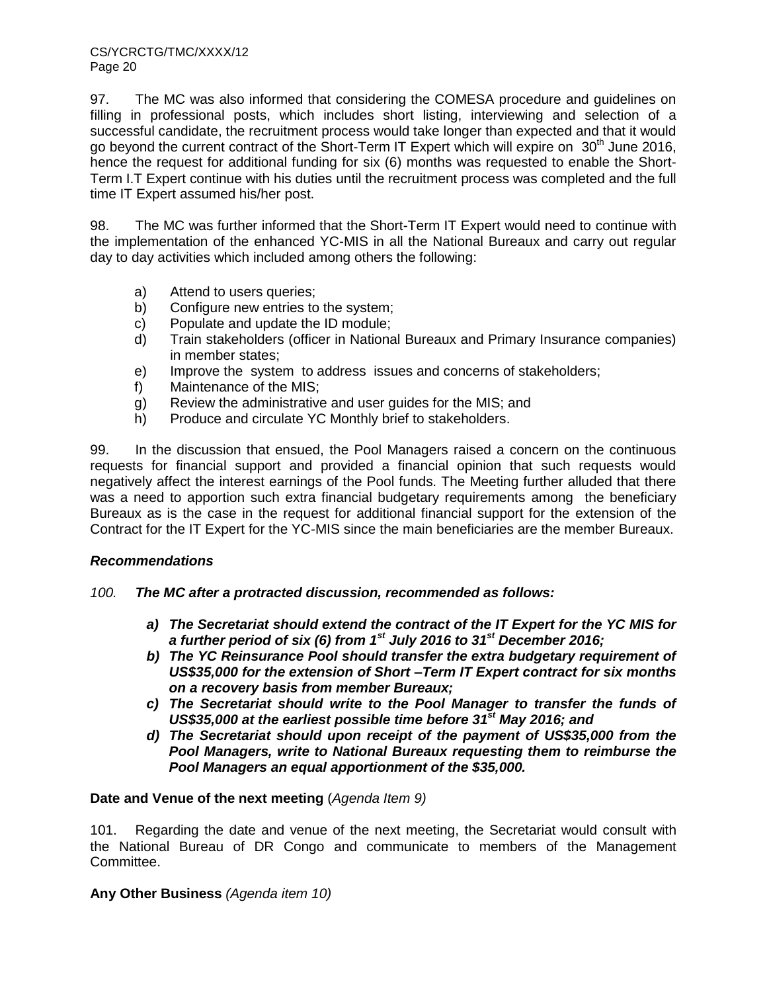97. The MC was also informed that considering the COMESA procedure and guidelines on filling in professional posts, which includes short listing, interviewing and selection of a successful candidate, the recruitment process would take longer than expected and that it would go beyond the current contract of the Short-Term IT Expert which will expire on  $30<sup>th</sup>$  June 2016, hence the request for additional funding for six (6) months was requested to enable the Short-Term I.T Expert continue with his duties until the recruitment process was completed and the full time IT Expert assumed his/her post.

98. The MC was further informed that the Short-Term IT Expert would need to continue with the implementation of the enhanced YC-MIS in all the National Bureaux and carry out regular day to day activities which included among others the following:

- a) Attend to users queries;
- b) Configure new entries to the system;
- c) Populate and update the ID module;
- d) Train stakeholders (officer in National Bureaux and Primary Insurance companies) in member states;
- e) Improve the system to address issues and concerns of stakeholders;
- f) Maintenance of the MIS;
- g) Review the administrative and user guides for the MIS; and
- h) Produce and circulate YC Monthly brief to stakeholders.

99. In the discussion that ensued, the Pool Managers raised a concern on the continuous requests for financial support and provided a financial opinion that such requests would negatively affect the interest earnings of the Pool funds. The Meeting further alluded that there was a need to apportion such extra financial budgetary requirements among the beneficiary Bureaux as is the case in the request for additional financial support for the extension of the Contract for the IT Expert for the YC-MIS since the main beneficiaries are the member Bureaux.

#### *Recommendations*

- *100. The MC after a protracted discussion, recommended as follows:* 
	- *a) The Secretariat should extend the contract of the IT Expert for the YC MIS for a further period of six (6) from 1st July 2016 to 31st December 2016;*
	- *b) The YC Reinsurance Pool should transfer the extra budgetary requirement of US\$35,000 for the extension of Short –Term IT Expert contract for six months on a recovery basis from member Bureaux;*
	- *c) The Secretariat should write to the Pool Manager to transfer the funds of US\$35,000 at the earliest possible time before 31 st May 2016; and*
	- *d) The Secretariat should upon receipt of the payment of US\$35,000 from the Pool Managers, write to National Bureaux requesting them to reimburse the Pool Managers an equal apportionment of the \$35,000.*

#### **Date and Venue of the next meeting** (*Agenda Item 9)*

101. Regarding the date and venue of the next meeting, the Secretariat would consult with the National Bureau of DR Congo and communicate to members of the Management Committee.

#### **Any Other Business** *(Agenda item 10)*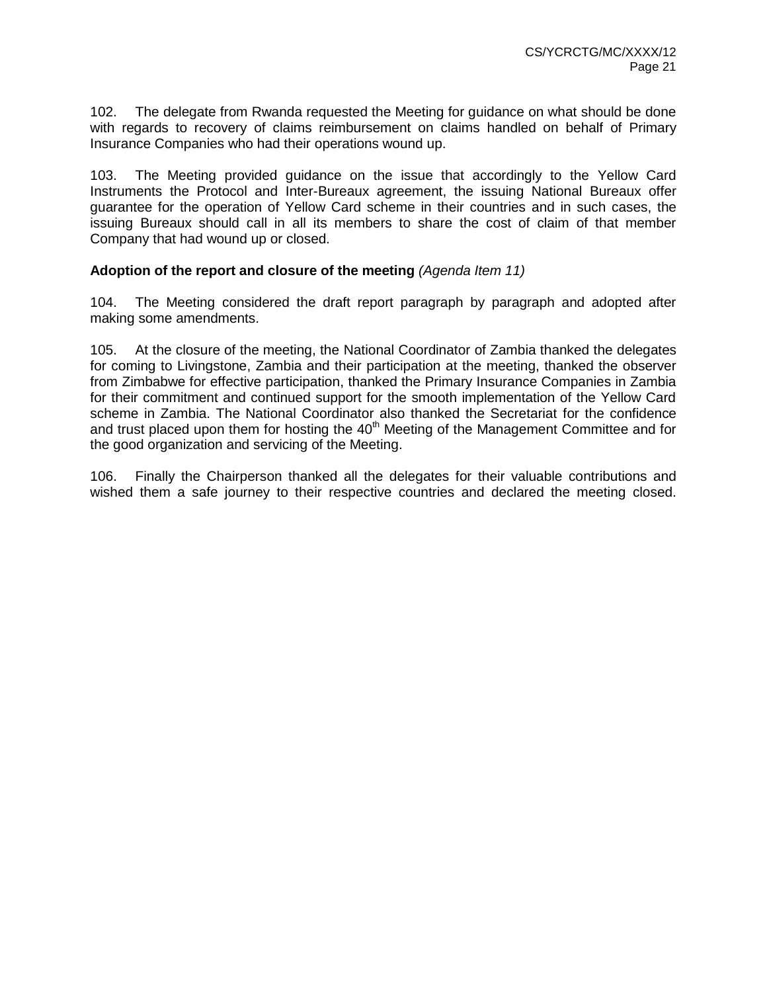102. The delegate from Rwanda requested the Meeting for guidance on what should be done with regards to recovery of claims reimbursement on claims handled on behalf of Primary Insurance Companies who had their operations wound up.

103. The Meeting provided guidance on the issue that accordingly to the Yellow Card Instruments the Protocol and Inter-Bureaux agreement, the issuing National Bureaux offer guarantee for the operation of Yellow Card scheme in their countries and in such cases, the issuing Bureaux should call in all its members to share the cost of claim of that member Company that had wound up or closed.

#### **Adoption of the report and closure of the meeting** *(Agenda Item 11)*

104. The Meeting considered the draft report paragraph by paragraph and adopted after making some amendments.

105. At the closure of the meeting, the National Coordinator of Zambia thanked the delegates for coming to Livingstone, Zambia and their participation at the meeting, thanked the observer from Zimbabwe for effective participation, thanked the Primary Insurance Companies in Zambia for their commitment and continued support for the smooth implementation of the Yellow Card scheme in Zambia. The National Coordinator also thanked the Secretariat for the confidence and trust placed upon them for hosting the  $40<sup>th</sup>$  Meeting of the Management Committee and for the good organization and servicing of the Meeting.

106. Finally the Chairperson thanked all the delegates for their valuable contributions and wished them a safe journey to their respective countries and declared the meeting closed.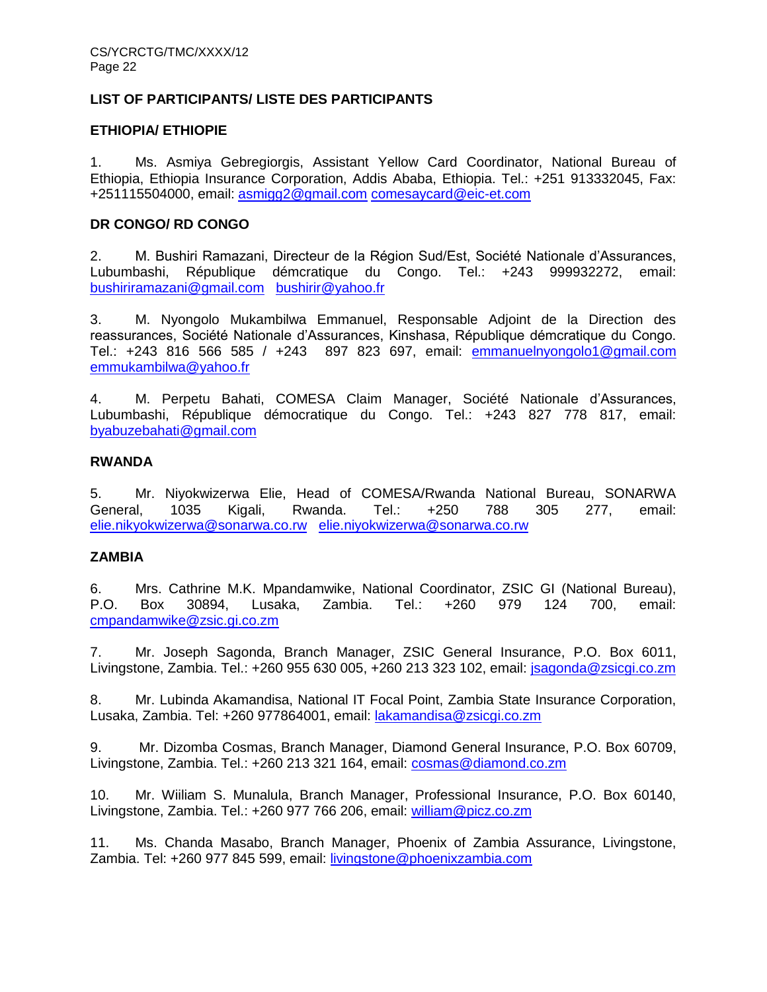# **LIST OF PARTICIPANTS/ LISTE DES PARTICIPANTS**

## **ETHIOPIA/ ETHIOPIE**

1. Ms. Asmiya Gebregiorgis, Assistant Yellow Card Coordinator, National Bureau of Ethiopia, Ethiopia Insurance Corporation, Addis Ababa, Ethiopia. Tel.: +251 913332045, Fax: +251115504000, email: [asmigg2@gmail.com](mailto:asmigg2@gmail.com) [comesaycard@eic-et.com](mailto:comesaycard@eic-et.com)

## **DR CONGO/ RD CONGO**

2. M. Bushiri Ramazani, Directeur de la Région Sud/Est, Société Nationale d'Assurances, Lubumbashi, République démcratique du Congo. Tel.: +243 999932272, email: [bushiriramazani@gmail.com](mailto:bushiriramazani@gmail.com) [bushirir@yahoo.fr](mailto:bushirir@yahoo.fr)

3. M. Nyongolo Mukambilwa Emmanuel, Responsable Adjoint de la Direction des reassurances, Société Nationale d'Assurances, Kinshasa, République démcratique du Congo. Tel.: +243 816 566 585 / +243 897 823 697, email: [emmanuelnyongolo1@gmail.com](mailto:emmanuelnyongolo1@gmail.com) [emmukambilwa@yahoo.fr](mailto:emmukambilwa@yahoo.fr)

4. M. Perpetu Bahati, COMESA Claim Manager, Société Nationale d'Assurances, Lubumbashi, République démocratique du Congo. Tel.: +243 827 778 817, email: [byabuzebahati@gmail.com](mailto:byabuzebahati@gmail.com)

## **RWANDA**

5. Mr. Niyokwizerwa Elie, Head of COMESA/Rwanda National Bureau, SONARWA General, 1035 Kigali, Rwanda. Tel.: +250 788 305 277, email: [elie.nikyokwizerwa@sonarwa.co.rw](mailto:elie.nikyokwizerwa@sonarwa.co.rw) [elie.niyokwizerwa@sonarwa.co.rw](mailto:elie.niyokwizerwa@sonarwa.co.rw)

#### **ZAMBIA**

6. Mrs. Cathrine M.K. Mpandamwike, National Coordinator, ZSIC GI (National Bureau), P.O. Box 30894, Lusaka, Zambia. Tel.: +260 979 124 700, email: [cmpandamwike@zsic.gi.co.zm](mailto:cmpandamwike@zsic.gi.co.zm)

7. Mr. Joseph Sagonda, Branch Manager, ZSIC General Insurance, P.O. Box 6011, Livingstone, Zambia. Tel.: +260 955 630 005, +260 213 323 102, email: [jsagonda@zsicgi.co.zm](mailto:jsagonda@zsicgi.co.zm)

8. Mr. Lubinda Akamandisa, National IT Focal Point, Zambia State Insurance Corporation, Lusaka, Zambia. Tel: +260 977864001, email: [lakamandisa@zsicgi.co.zm](mailto:lakamandisa@zsicgi.co.zm)

9. Mr. Dizomba Cosmas, Branch Manager, Diamond General Insurance, P.O. Box 60709, Livingstone, Zambia. Tel.: +260 213 321 164, email: [cosmas@diamond.co.zm](mailto:cosmas@diamond.co.zm)

10. Mr. Wiiliam S. Munalula, Branch Manager, Professional Insurance, P.O. Box 60140, Livingstone, Zambia. Tel.: +260 977 766 206, email: [william@picz.co.zm](mailto:william@picz.co.zm)

11. Ms. Chanda Masabo, Branch Manager, Phoenix of Zambia Assurance, Livingstone, Zambia. Tel: +260 977 845 599, email: [livingstone@phoenixzambia.com](mailto:livingstone@phoenixzambia.com)